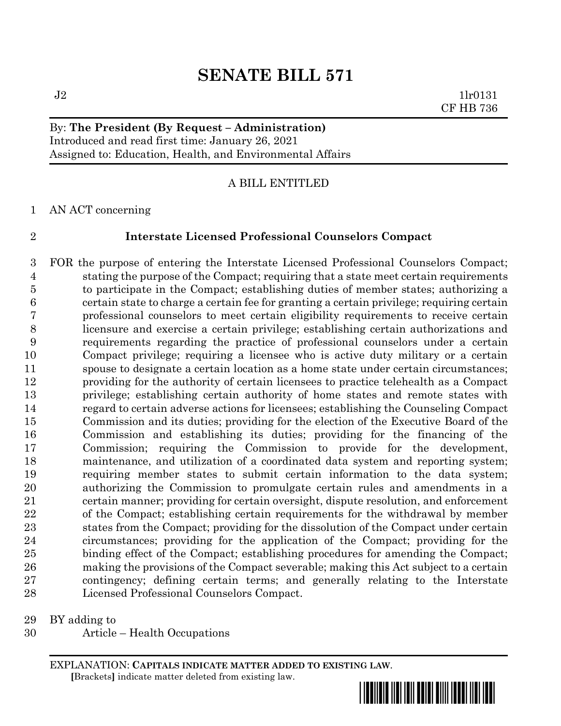# **SENATE BILL 571**

## By: **The President (By Request – Administration)** Introduced and read first time: January 26, 2021 Assigned to: Education, Health, and Environmental Affairs

### A BILL ENTITLED

AN ACT concerning

#### **Interstate Licensed Professional Counselors Compact**

 FOR the purpose of entering the Interstate Licensed Professional Counselors Compact; stating the purpose of the Compact; requiring that a state meet certain requirements to participate in the Compact; establishing duties of member states; authorizing a certain state to charge a certain fee for granting a certain privilege; requiring certain professional counselors to meet certain eligibility requirements to receive certain licensure and exercise a certain privilege; establishing certain authorizations and requirements regarding the practice of professional counselors under a certain Compact privilege; requiring a licensee who is active duty military or a certain spouse to designate a certain location as a home state under certain circumstances; providing for the authority of certain licensees to practice telehealth as a Compact privilege; establishing certain authority of home states and remote states with regard to certain adverse actions for licensees; establishing the Counseling Compact Commission and its duties; providing for the election of the Executive Board of the Commission and establishing its duties; providing for the financing of the Commission; requiring the Commission to provide for the development, maintenance, and utilization of a coordinated data system and reporting system; requiring member states to submit certain information to the data system; authorizing the Commission to promulgate certain rules and amendments in a certain manner; providing for certain oversight, dispute resolution, and enforcement of the Compact; establishing certain requirements for the withdrawal by member states from the Compact; providing for the dissolution of the Compact under certain circumstances; providing for the application of the Compact; providing for the binding effect of the Compact; establishing procedures for amending the Compact; making the provisions of the Compact severable; making this Act subject to a certain contingency; defining certain terms; and generally relating to the Interstate Licensed Professional Counselors Compact.

BY adding to

Article – Health Occupations

EXPLANATION: **CAPITALS INDICATE MATTER ADDED TO EXISTING LAW**.  **[**Brackets**]** indicate matter deleted from existing law.

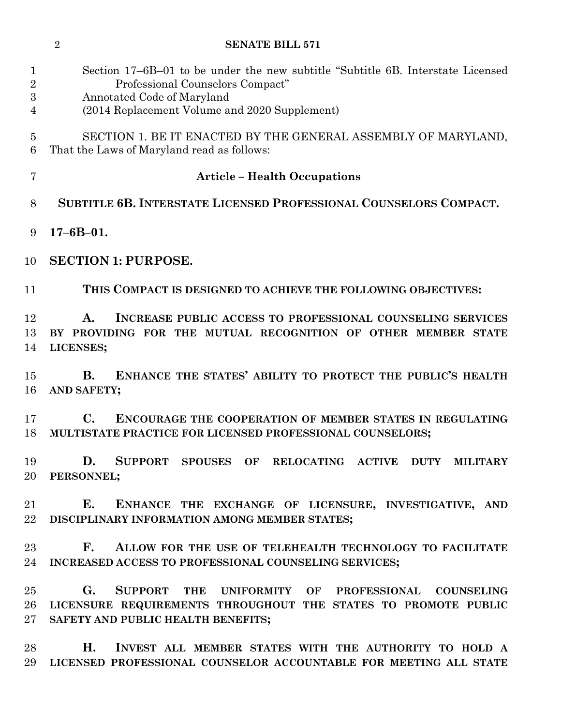| Section 17–6B–01 to be under the new subtitle "Subtitle 6B. Interstate Licensed"<br>Professional Counselors Compact"<br>Annotated Code of Maryland<br>(2014 Replacement Volume and 2020 Supplement) |
|-----------------------------------------------------------------------------------------------------------------------------------------------------------------------------------------------------|
| SECTION 1. BE IT ENACTED BY THE GENERAL ASSEMBLY OF MARYLAND,<br>That the Laws of Maryland read as follows:                                                                                         |
| <b>Article - Health Occupations</b>                                                                                                                                                                 |
| SUBTITLE 6B. INTERSTATE LICENSED PROFESSIONAL COUNSELORS COMPACT.                                                                                                                                   |
| $17 - 6B - 01.$                                                                                                                                                                                     |
| <b>SECTION 1: PURPOSE.</b>                                                                                                                                                                          |
| THIS COMPACT IS DESIGNED TO ACHIEVE THE FOLLOWING OBJECTIVES:                                                                                                                                       |
| A.<br>INCREASE PUBLIC ACCESS TO PROFESSIONAL COUNSELING SERVICES<br>BY PROVIDING FOR THE MUTUAL RECOGNITION OF OTHER MEMBER STATE<br>LICENSES;                                                      |
| ENHANCE THE STATES' ABILITY TO PROTECT THE PUBLIC'S HEALTH<br><b>B.</b><br>AND SAFETY;                                                                                                              |
| $\mathbf{C}$ .<br>ENCOURAGE THE COOPERATION OF MEMBER STATES IN REGULATING<br>MULTISTATE PRACTICE FOR LICENSED PROFESSIONAL COUNSELORS;                                                             |
| SUPPORT SPOUSES OF RELOCATING ACTIVE DUTY MILITARY<br>19<br>$\mathbf{D}$ .<br>20 PERSONNEL;                                                                                                         |
| 21 E. ENHANCE THE EXCHANGE OF LICENSURE, INVESTIGATIVE, AND<br>22 DISCIPLINARY INFORMATION AMONG MEMBER STATES;                                                                                     |
| 23 F. ALLOW FOR THE USE OF TELEHEALTH TECHNOLOGY TO FACILITATE<br>24 INCREASED ACCESS TO PROFESSIONAL COUNSELING SERVICES;                                                                          |
| G. SUPPORT THE UNIFORMITY OF PROFESSIONAL COUNSELING<br>$25\,$<br>26 LICENSURE REQUIREMENTS THROUGHOUT THE STATES TO PROMOTE PUBLIC<br>27 SAFETY AND PUBLIC HEALTH BENEFITS;                        |
| 28<br>H. INVEST ALL MEMBER STATES WITH THE AUTHORITY TO HOLD A<br>29 LICENSED PROFESSIONAL COUNSELOR ACCOUNTABLE FOR MEETING ALL STATE                                                              |
|                                                                                                                                                                                                     |

**SENATE BILL 571**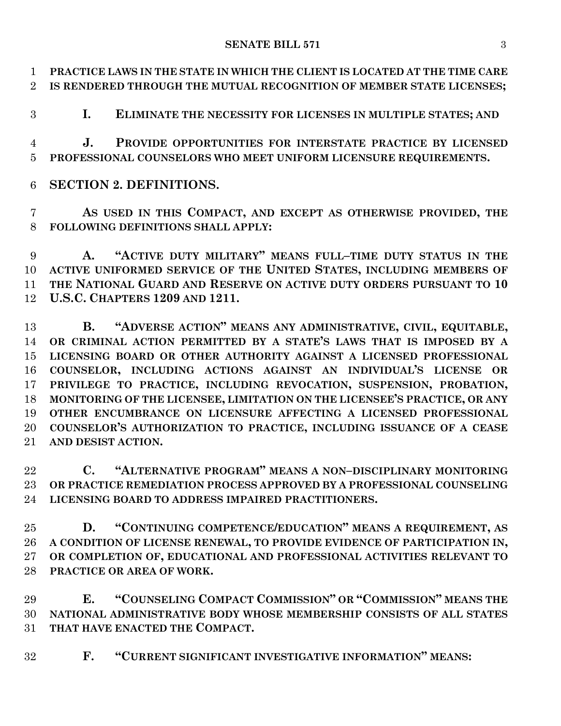**PRACTICE LAWS IN THE STATE IN WHICH THE CLIENT IS LOCATED AT THE TIME CARE IS RENDERED THROUGH THE MUTUAL RECOGNITION OF MEMBER STATE LICENSES;**

**I. ELIMINATE THE NECESSITY FOR LICENSES IN MULTIPLE STATES; AND**

 **J. PROVIDE OPPORTUNITIES FOR INTERSTATE PRACTICE BY LICENSED PROFESSIONAL COUNSELORS WHO MEET UNIFORM LICENSURE REQUIREMENTS.**

**SECTION 2. DEFINITIONS.**

 **AS USED IN THIS COMPACT, AND EXCEPT AS OTHERWISE PROVIDED, THE FOLLOWING DEFINITIONS SHALL APPLY:**

 **A. "ACTIVE DUTY MILITARY" MEANS FULL–TIME DUTY STATUS IN THE ACTIVE UNIFORMED SERVICE OF THE UNITED STATES, INCLUDING MEMBERS OF THE NATIONAL GUARD AND RESERVE ON ACTIVE DUTY ORDERS PURSUANT TO 10 U.S.C. CHAPTERS 1209 AND 1211.**

 **B. "ADVERSE ACTION" MEANS ANY ADMINISTRATIVE, CIVIL, EQUITABLE, OR CRIMINAL ACTION PERMITTED BY A STATE'S LAWS THAT IS IMPOSED BY A LICENSING BOARD OR OTHER AUTHORITY AGAINST A LICENSED PROFESSIONAL COUNSELOR, INCLUDING ACTIONS AGAINST AN INDIVIDUAL'S LICENSE OR PRIVILEGE TO PRACTICE, INCLUDING REVOCATION, SUSPENSION, PROBATION, MONITORING OF THE LICENSEE, LIMITATION ON THE LICENSEE'S PRACTICE, OR ANY OTHER ENCUMBRANCE ON LICENSURE AFFECTING A LICENSED PROFESSIONAL COUNSELOR'S AUTHORIZATION TO PRACTICE, INCLUDING ISSUANCE OF A CEASE AND DESIST ACTION.**

 **C. "ALTERNATIVE PROGRAM" MEANS A NON–DISCIPLINARY MONITORING OR PRACTICE REMEDIATION PROCESS APPROVED BY A PROFESSIONAL COUNSELING LICENSING BOARD TO ADDRESS IMPAIRED PRACTITIONERS.**

 **D. "CONTINUING COMPETENCE/EDUCATION" MEANS A REQUIREMENT, AS A CONDITION OF LICENSE RENEWAL, TO PROVIDE EVIDENCE OF PARTICIPATION IN, OR COMPLETION OF, EDUCATIONAL AND PROFESSIONAL ACTIVITIES RELEVANT TO PRACTICE OR AREA OF WORK.**

 **E. "COUNSELING COMPACT COMMISSION" OR "COMMISSION" MEANS THE NATIONAL ADMINISTRATIVE BODY WHOSE MEMBERSHIP CONSISTS OF ALL STATES THAT HAVE ENACTED THE COMPACT.**

**F. "CURRENT SIGNIFICANT INVESTIGATIVE INFORMATION" MEANS:**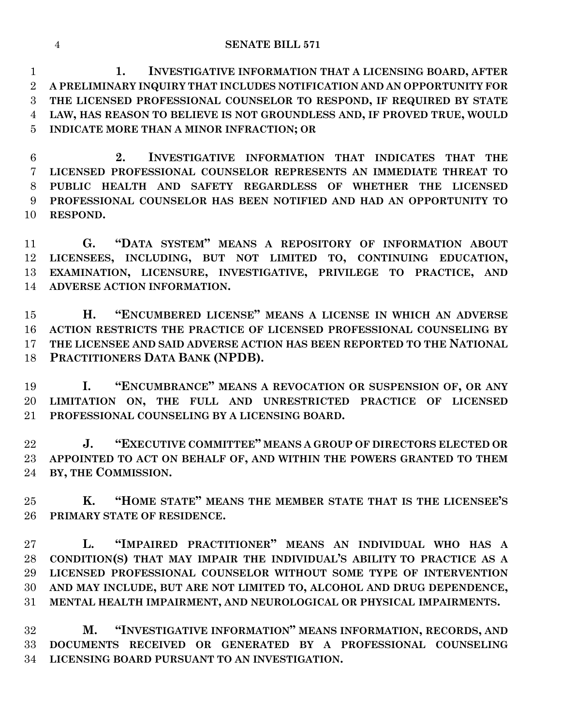**1. INVESTIGATIVE INFORMATION THAT A LICENSING BOARD, AFTER A PRELIMINARY INQUIRY THAT INCLUDES NOTIFICATION AND AN OPPORTUNITY FOR THE LICENSED PROFESSIONAL COUNSELOR TO RESPOND, IF REQUIRED BY STATE LAW, HAS REASON TO BELIEVE IS NOT GROUNDLESS AND, IF PROVED TRUE, WOULD INDICATE MORE THAN A MINOR INFRACTION; OR**

 **2. INVESTIGATIVE INFORMATION THAT INDICATES THAT THE LICENSED PROFESSIONAL COUNSELOR REPRESENTS AN IMMEDIATE THREAT TO PUBLIC HEALTH AND SAFETY REGARDLESS OF WHETHER THE LICENSED PROFESSIONAL COUNSELOR HAS BEEN NOTIFIED AND HAD AN OPPORTUNITY TO RESPOND.**

 **G. "DATA SYSTEM" MEANS A REPOSITORY OF INFORMATION ABOUT LICENSEES, INCLUDING, BUT NOT LIMITED TO, CONTINUING EDUCATION, EXAMINATION, LICENSURE, INVESTIGATIVE, PRIVILEGE TO PRACTICE, AND ADVERSE ACTION INFORMATION.**

 **H. "ENCUMBERED LICENSE" MEANS A LICENSE IN WHICH AN ADVERSE ACTION RESTRICTS THE PRACTICE OF LICENSED PROFESSIONAL COUNSELING BY THE LICENSEE AND SAID ADVERSE ACTION HAS BEEN REPORTED TO THE NATIONAL PRACTITIONERS DATA BANK (NPDB).**

 **I. "ENCUMBRANCE" MEANS A REVOCATION OR SUSPENSION OF, OR ANY LIMITATION ON, THE FULL AND UNRESTRICTED PRACTICE OF LICENSED PROFESSIONAL COUNSELING BY A LICENSING BOARD.**

 **J. "EXECUTIVE COMMITTEE" MEANS A GROUP OF DIRECTORS ELECTED OR APPOINTED TO ACT ON BEHALF OF, AND WITHIN THE POWERS GRANTED TO THEM BY, THE COMMISSION.**

 **K. "HOME STATE" MEANS THE MEMBER STATE THAT IS THE LICENSEE'S PRIMARY STATE OF RESIDENCE.**

 **L. "IMPAIRED PRACTITIONER" MEANS AN INDIVIDUAL WHO HAS A CONDITION(S) THAT MAY IMPAIR THE INDIVIDUAL'S ABILITY TO PRACTICE AS A LICENSED PROFESSIONAL COUNSELOR WITHOUT SOME TYPE OF INTERVENTION AND MAY INCLUDE, BUT ARE NOT LIMITED TO, ALCOHOL AND DRUG DEPENDENCE, MENTAL HEALTH IMPAIRMENT, AND NEUROLOGICAL OR PHYSICAL IMPAIRMENTS.**

 **M. "INVESTIGATIVE INFORMATION" MEANS INFORMATION, RECORDS, AND DOCUMENTS RECEIVED OR GENERATED BY A PROFESSIONAL COUNSELING LICENSING BOARD PURSUANT TO AN INVESTIGATION.**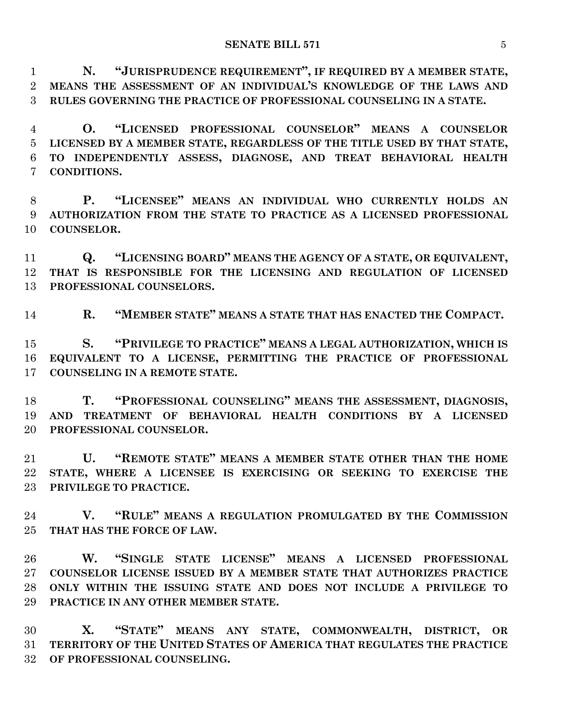**N. "JURISPRUDENCE REQUIREMENT", IF REQUIRED BY A MEMBER STATE, MEANS THE ASSESSMENT OF AN INDIVIDUAL'S KNOWLEDGE OF THE LAWS AND RULES GOVERNING THE PRACTICE OF PROFESSIONAL COUNSELING IN A STATE.**

 **O. "LICENSED PROFESSIONAL COUNSELOR" MEANS A COUNSELOR LICENSED BY A MEMBER STATE, REGARDLESS OF THE TITLE USED BY THAT STATE, TO INDEPENDENTLY ASSESS, DIAGNOSE, AND TREAT BEHAVIORAL HEALTH CONDITIONS.**

 **P. "LICENSEE" MEANS AN INDIVIDUAL WHO CURRENTLY HOLDS AN AUTHORIZATION FROM THE STATE TO PRACTICE AS A LICENSED PROFESSIONAL COUNSELOR.**

 **Q. "LICENSING BOARD" MEANS THE AGENCY OF A STATE, OR EQUIVALENT, THAT IS RESPONSIBLE FOR THE LICENSING AND REGULATION OF LICENSED PROFESSIONAL COUNSELORS.**

**R. "MEMBER STATE" MEANS A STATE THAT HAS ENACTED THE COMPACT.**

 **S. "PRIVILEGE TO PRACTICE" MEANS A LEGAL AUTHORIZATION, WHICH IS EQUIVALENT TO A LICENSE, PERMITTING THE PRACTICE OF PROFESSIONAL COUNSELING IN A REMOTE STATE.**

 **T. "PROFESSIONAL COUNSELING" MEANS THE ASSESSMENT, DIAGNOSIS, AND TREATMENT OF BEHAVIORAL HEALTH CONDITIONS BY A LICENSED PROFESSIONAL COUNSELOR.**

 **U. "REMOTE STATE" MEANS A MEMBER STATE OTHER THAN THE HOME STATE, WHERE A LICENSEE IS EXERCISING OR SEEKING TO EXERCISE THE PRIVILEGE TO PRACTICE.**

 **V. "RULE" MEANS A REGULATION PROMULGATED BY THE COMMISSION THAT HAS THE FORCE OF LAW.**

 **W. "SINGLE STATE LICENSE" MEANS A LICENSED PROFESSIONAL COUNSELOR LICENSE ISSUED BY A MEMBER STATE THAT AUTHORIZES PRACTICE ONLY WITHIN THE ISSUING STATE AND DOES NOT INCLUDE A PRIVILEGE TO PRACTICE IN ANY OTHER MEMBER STATE.**

 **X. "STATE" MEANS ANY STATE, COMMONWEALTH, DISTRICT, OR TERRITORY OF THE UNITED STATES OF AMERICA THAT REGULATES THE PRACTICE OF PROFESSIONAL COUNSELING.**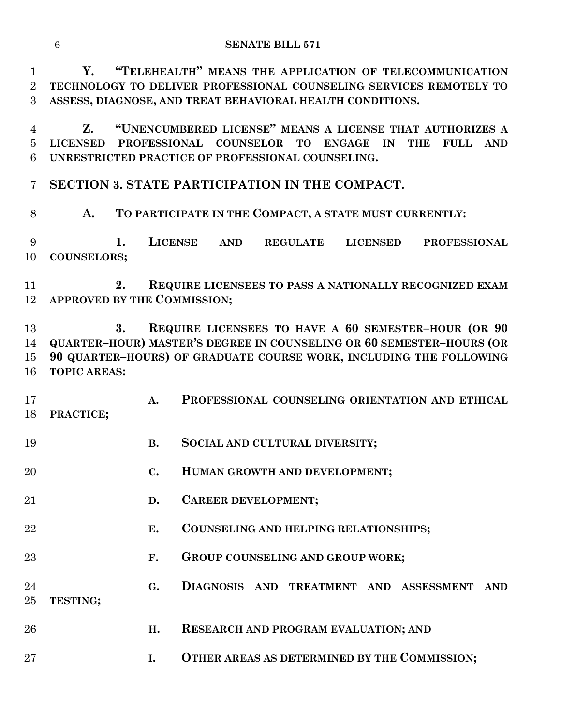**Y. "TELEHEALTH" MEANS THE APPLICATION OF TELECOMMUNICATION TECHNOLOGY TO DELIVER PROFESSIONAL COUNSELING SERVICES REMOTELY TO ASSESS, DIAGNOSE, AND TREAT BEHAVIORAL HEALTH CONDITIONS.**

 **Z. "UNENCUMBERED LICENSE" MEANS A LICENSE THAT AUTHORIZES A LICENSED PROFESSIONAL COUNSELOR TO ENGAGE IN THE FULL AND UNRESTRICTED PRACTICE OF PROFESSIONAL COUNSELING.**

**SECTION 3. STATE PARTICIPATION IN THE COMPACT.**

**A. TO PARTICIPATE IN THE COMPACT, A STATE MUST CURRENTLY:**

 **1. LICENSE AND REGULATE LICENSED PROFESSIONAL COUNSELORS;**

 **2. REQUIRE LICENSEES TO PASS A NATIONALLY RECOGNIZED EXAM APPROVED BY THE COMMISSION;**

 **3. REQUIRE LICENSEES TO HAVE A 60 SEMESTER–HOUR (OR 90 QUARTER–HOUR) MASTER'S DEGREE IN COUNSELING OR 60 SEMESTER–HOURS (OR 90 QUARTER–HOURS) OF GRADUATE COURSE WORK, INCLUDING THE FOLLOWING TOPIC AREAS:**

- **A. PROFESSIONAL COUNSELING ORIENTATION AND ETHICAL PRACTICE;**
- **B. SOCIAL AND CULTURAL DIVERSITY;**
- **C. HUMAN GROWTH AND DEVELOPMENT;**
- **D. CAREER DEVELOPMENT;**
- **E. COUNSELING AND HELPING RELATIONSHIPS;**
- **F. GROUP COUNSELING AND GROUP WORK;**
- **G. DIAGNOSIS AND TREATMENT AND ASSESSMENT AND TESTING;**
- **H. RESEARCH AND PROGRAM EVALUATION; AND**
- **I. OTHER AREAS AS DETERMINED BY THE COMMISSION;**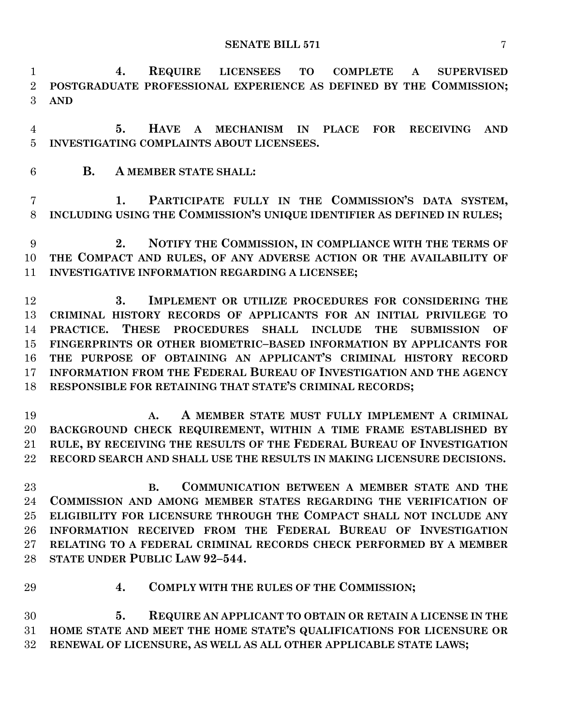**4. REQUIRE LICENSEES TO COMPLETE A SUPERVISED POSTGRADUATE PROFESSIONAL EXPERIENCE AS DEFINED BY THE COMMISSION; AND**

 **5. HAVE A MECHANISM IN PLACE FOR RECEIVING AND INVESTIGATING COMPLAINTS ABOUT LICENSEES.**

**B. A MEMBER STATE SHALL:**

 **1. PARTICIPATE FULLY IN THE COMMISSION'S DATA SYSTEM, INCLUDING USING THE COMMISSION'S UNIQUE IDENTIFIER AS DEFINED IN RULES;**

 **2. NOTIFY THE COMMISSION, IN COMPLIANCE WITH THE TERMS OF THE COMPACT AND RULES, OF ANY ADVERSE ACTION OR THE AVAILABILITY OF INVESTIGATIVE INFORMATION REGARDING A LICENSEE;**

 **3. IMPLEMENT OR UTILIZE PROCEDURES FOR CONSIDERING THE CRIMINAL HISTORY RECORDS OF APPLICANTS FOR AN INITIAL PRIVILEGE TO PRACTICE. THESE PROCEDURES SHALL INCLUDE THE SUBMISSION OF FINGERPRINTS OR OTHER BIOMETRIC–BASED INFORMATION BY APPLICANTS FOR THE PURPOSE OF OBTAINING AN APPLICANT'S CRIMINAL HISTORY RECORD INFORMATION FROM THE FEDERAL BUREAU OF INVESTIGATION AND THE AGENCY RESPONSIBLE FOR RETAINING THAT STATE'S CRIMINAL RECORDS;**

 **A. A MEMBER STATE MUST FULLY IMPLEMENT A CRIMINAL BACKGROUND CHECK REQUIREMENT, WITHIN A TIME FRAME ESTABLISHED BY RULE, BY RECEIVING THE RESULTS OF THE FEDERAL BUREAU OF INVESTIGATION RECORD SEARCH AND SHALL USE THE RESULTS IN MAKING LICENSURE DECISIONS.**

 **B. COMMUNICATION BETWEEN A MEMBER STATE AND THE COMMISSION AND AMONG MEMBER STATES REGARDING THE VERIFICATION OF ELIGIBILITY FOR LICENSURE THROUGH THE COMPACT SHALL NOT INCLUDE ANY INFORMATION RECEIVED FROM THE FEDERAL BUREAU OF INVESTIGATION RELATING TO A FEDERAL CRIMINAL RECORDS CHECK PERFORMED BY A MEMBER STATE UNDER PUBLIC LAW 92–544.**

- 
- **4. COMPLY WITH THE RULES OF THE COMMISSION;**

 **5. REQUIRE AN APPLICANT TO OBTAIN OR RETAIN A LICENSE IN THE HOME STATE AND MEET THE HOME STATE'S QUALIFICATIONS FOR LICENSURE OR RENEWAL OF LICENSURE, AS WELL AS ALL OTHER APPLICABLE STATE LAWS;**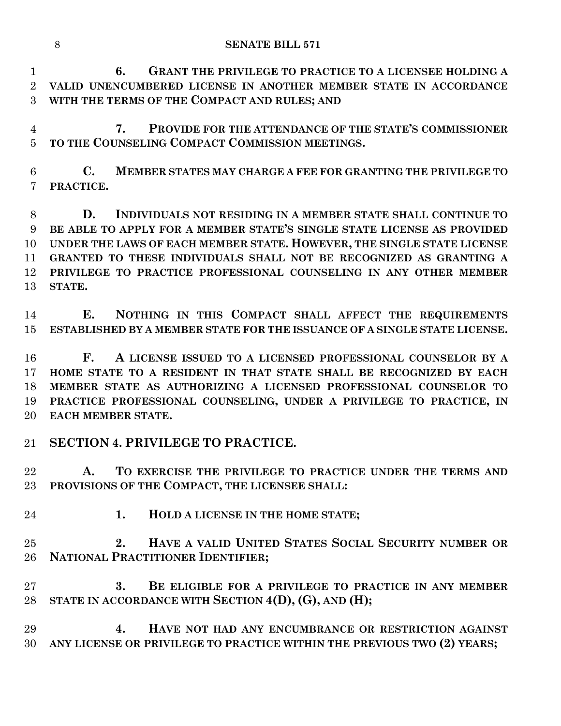**6. GRANT THE PRIVILEGE TO PRACTICE TO A LICENSEE HOLDING A VALID UNENCUMBERED LICENSE IN ANOTHER MEMBER STATE IN ACCORDANCE WITH THE TERMS OF THE COMPACT AND RULES; AND**

 **7. PROVIDE FOR THE ATTENDANCE OF THE STATE'S COMMISSIONER TO THE COUNSELING COMPACT COMMISSION MEETINGS.**

 **C. MEMBER STATES MAY CHARGE A FEE FOR GRANTING THE PRIVILEGE TO PRACTICE.**

 **D. INDIVIDUALS NOT RESIDING IN A MEMBER STATE SHALL CONTINUE TO BE ABLE TO APPLY FOR A MEMBER STATE'S SINGLE STATE LICENSE AS PROVIDED UNDER THE LAWS OF EACH MEMBER STATE. HOWEVER, THE SINGLE STATE LICENSE GRANTED TO THESE INDIVIDUALS SHALL NOT BE RECOGNIZED AS GRANTING A PRIVILEGE TO PRACTICE PROFESSIONAL COUNSELING IN ANY OTHER MEMBER STATE.**

 **E. NOTHING IN THIS COMPACT SHALL AFFECT THE REQUIREMENTS ESTABLISHED BY A MEMBER STATE FOR THE ISSUANCE OF A SINGLE STATE LICENSE.**

 **F. A LICENSE ISSUED TO A LICENSED PROFESSIONAL COUNSELOR BY A HOME STATE TO A RESIDENT IN THAT STATE SHALL BE RECOGNIZED BY EACH MEMBER STATE AS AUTHORIZING A LICENSED PROFESSIONAL COUNSELOR TO PRACTICE PROFESSIONAL COUNSELING, UNDER A PRIVILEGE TO PRACTICE, IN EACH MEMBER STATE.**

**SECTION 4. PRIVILEGE TO PRACTICE.**

 **A. TO EXERCISE THE PRIVILEGE TO PRACTICE UNDER THE TERMS AND PROVISIONS OF THE COMPACT, THE LICENSEE SHALL:**

**1. HOLD A LICENSE IN THE HOME STATE;**

 **2. HAVE A VALID UNITED STATES SOCIAL SECURITY NUMBER OR NATIONAL PRACTITIONER IDENTIFIER;**

 **3. BE ELIGIBLE FOR A PRIVILEGE TO PRACTICE IN ANY MEMBER STATE IN ACCORDANCE WITH SECTION 4(D), (G), AND (H);**

 **4. HAVE NOT HAD ANY ENCUMBRANCE OR RESTRICTION AGAINST ANY LICENSE OR PRIVILEGE TO PRACTICE WITHIN THE PREVIOUS TWO (2) YEARS;**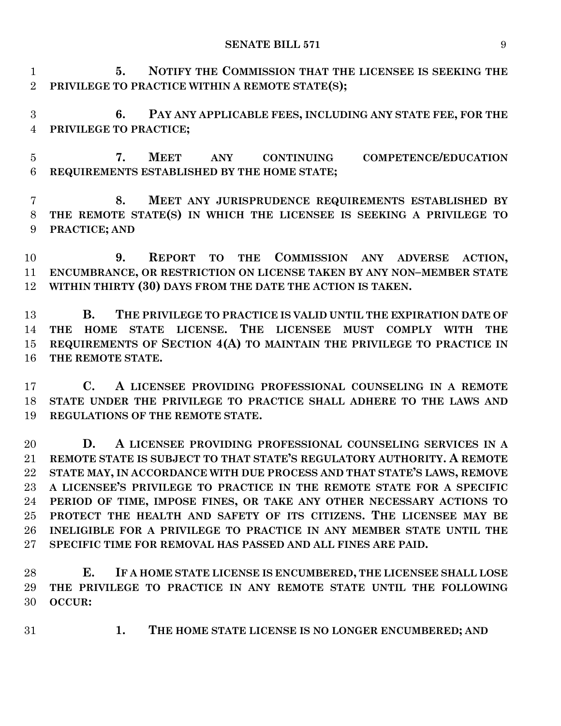**5. NOTIFY THE COMMISSION THAT THE LICENSEE IS SEEKING THE PRIVILEGE TO PRACTICE WITHIN A REMOTE STATE(S);**

 **6. PAY ANY APPLICABLE FEES, INCLUDING ANY STATE FEE, FOR THE PRIVILEGE TO PRACTICE;**

 **7. MEET ANY CONTINUING COMPETENCE/EDUCATION REQUIREMENTS ESTABLISHED BY THE HOME STATE;**

 **8. MEET ANY JURISPRUDENCE REQUIREMENTS ESTABLISHED BY THE REMOTE STATE(S) IN WHICH THE LICENSEE IS SEEKING A PRIVILEGE TO PRACTICE; AND**

 **9. REPORT TO THE COMMISSION ANY ADVERSE ACTION, ENCUMBRANCE, OR RESTRICTION ON LICENSE TAKEN BY ANY NON–MEMBER STATE WITHIN THIRTY (30) DAYS FROM THE DATE THE ACTION IS TAKEN.**

 **B. THE PRIVILEGE TO PRACTICE IS VALID UNTIL THE EXPIRATION DATE OF THE HOME STATE LICENSE. THE LICENSEE MUST COMPLY WITH THE REQUIREMENTS OF SECTION 4(A) TO MAINTAIN THE PRIVILEGE TO PRACTICE IN THE REMOTE STATE.**

 **C. A LICENSEE PROVIDING PROFESSIONAL COUNSELING IN A REMOTE STATE UNDER THE PRIVILEGE TO PRACTICE SHALL ADHERE TO THE LAWS AND REGULATIONS OF THE REMOTE STATE.**

 **D. A LICENSEE PROVIDING PROFESSIONAL COUNSELING SERVICES IN A REMOTE STATE IS SUBJECT TO THAT STATE'S REGULATORY AUTHORITY. A REMOTE STATE MAY, IN ACCORDANCE WITH DUE PROCESS AND THAT STATE'S LAWS, REMOVE A LICENSEE'S PRIVILEGE TO PRACTICE IN THE REMOTE STATE FOR A SPECIFIC PERIOD OF TIME, IMPOSE FINES, OR TAKE ANY OTHER NECESSARY ACTIONS TO PROTECT THE HEALTH AND SAFETY OF ITS CITIZENS. THE LICENSEE MAY BE INELIGIBLE FOR A PRIVILEGE TO PRACTICE IN ANY MEMBER STATE UNTIL THE SPECIFIC TIME FOR REMOVAL HAS PASSED AND ALL FINES ARE PAID.**

 **E. IF A HOME STATE LICENSE IS ENCUMBERED, THE LICENSEE SHALL LOSE THE PRIVILEGE TO PRACTICE IN ANY REMOTE STATE UNTIL THE FOLLOWING OCCUR:**

**1. THE HOME STATE LICENSE IS NO LONGER ENCUMBERED; AND**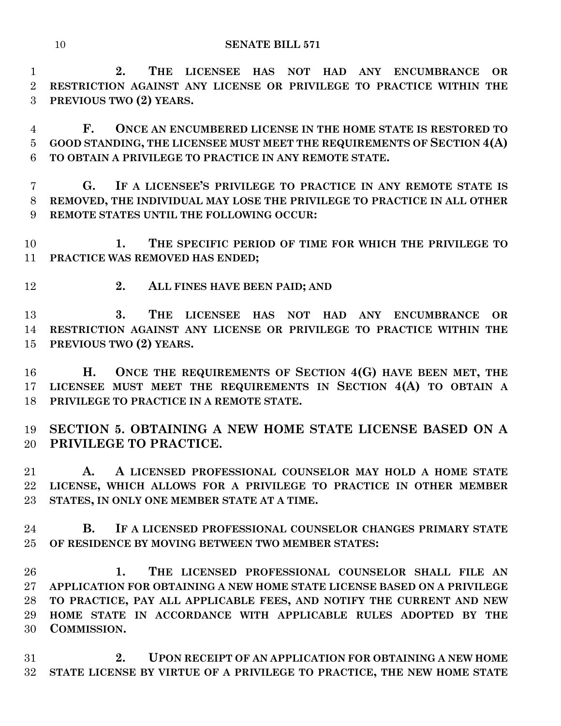**2. THE LICENSEE HAS NOT HAD ANY ENCUMBRANCE OR RESTRICTION AGAINST ANY LICENSE OR PRIVILEGE TO PRACTICE WITHIN THE PREVIOUS TWO (2) YEARS.**

 **F. ONCE AN ENCUMBERED LICENSE IN THE HOME STATE IS RESTORED TO GOOD STANDING, THE LICENSEE MUST MEET THE REQUIREMENTS OF SECTION 4(A) TO OBTAIN A PRIVILEGE TO PRACTICE IN ANY REMOTE STATE.**

 **G. IF A LICENSEE'S PRIVILEGE TO PRACTICE IN ANY REMOTE STATE IS REMOVED, THE INDIVIDUAL MAY LOSE THE PRIVILEGE TO PRACTICE IN ALL OTHER REMOTE STATES UNTIL THE FOLLOWING OCCUR:**

 **1. THE SPECIFIC PERIOD OF TIME FOR WHICH THE PRIVILEGE TO PRACTICE WAS REMOVED HAS ENDED;**

- 
- **2. ALL FINES HAVE BEEN PAID; AND**

 **3. THE LICENSEE HAS NOT HAD ANY ENCUMBRANCE OR RESTRICTION AGAINST ANY LICENSE OR PRIVILEGE TO PRACTICE WITHIN THE PREVIOUS TWO (2) YEARS.**

 **H. ONCE THE REQUIREMENTS OF SECTION 4(G) HAVE BEEN MET, THE LICENSEE MUST MEET THE REQUIREMENTS IN SECTION 4(A) TO OBTAIN A PRIVILEGE TO PRACTICE IN A REMOTE STATE.**

 **SECTION 5. OBTAINING A NEW HOME STATE LICENSE BASED ON A PRIVILEGE TO PRACTICE.**

 **A. A LICENSED PROFESSIONAL COUNSELOR MAY HOLD A HOME STATE LICENSE, WHICH ALLOWS FOR A PRIVILEGE TO PRACTICE IN OTHER MEMBER STATES, IN ONLY ONE MEMBER STATE AT A TIME.**

 **B. IF A LICENSED PROFESSIONAL COUNSELOR CHANGES PRIMARY STATE OF RESIDENCE BY MOVING BETWEEN TWO MEMBER STATES:**

 **1. THE LICENSED PROFESSIONAL COUNSELOR SHALL FILE AN APPLICATION FOR OBTAINING A NEW HOME STATE LICENSE BASED ON A PRIVILEGE TO PRACTICE, PAY ALL APPLICABLE FEES, AND NOTIFY THE CURRENT AND NEW HOME STATE IN ACCORDANCE WITH APPLICABLE RULES ADOPTED BY THE COMMISSION.**

 **2. UPON RECEIPT OF AN APPLICATION FOR OBTAINING A NEW HOME STATE LICENSE BY VIRTUE OF A PRIVILEGE TO PRACTICE, THE NEW HOME STATE**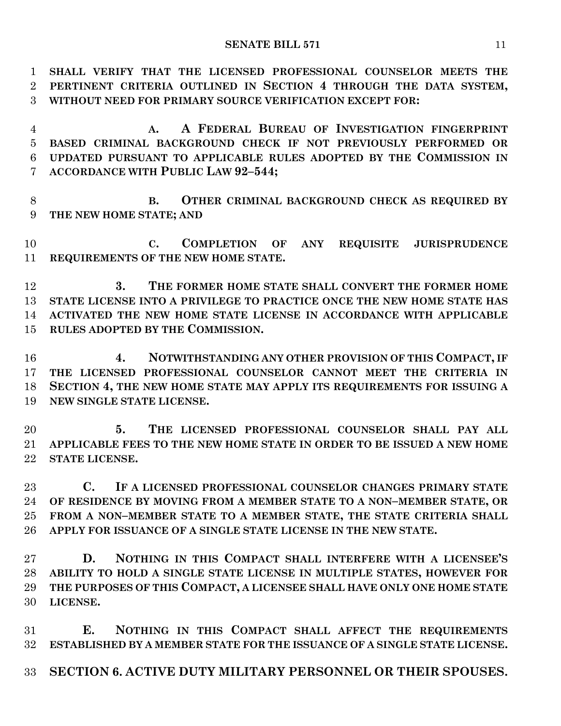**SHALL VERIFY THAT THE LICENSED PROFESSIONAL COUNSELOR MEETS THE PERTINENT CRITERIA OUTLINED IN SECTION 4 THROUGH THE DATA SYSTEM, WITHOUT NEED FOR PRIMARY SOURCE VERIFICATION EXCEPT FOR:**

 **A. A FEDERAL BUREAU OF INVESTIGATION FINGERPRINT BASED CRIMINAL BACKGROUND CHECK IF NOT PREVIOUSLY PERFORMED OR UPDATED PURSUANT TO APPLICABLE RULES ADOPTED BY THE COMMISSION IN ACCORDANCE WITH PUBLIC LAW 92–544;**

 **B. OTHER CRIMINAL BACKGROUND CHECK AS REQUIRED BY THE NEW HOME STATE; AND**

 **C. COMPLETION OF ANY REQUISITE JURISPRUDENCE REQUIREMENTS OF THE NEW HOME STATE.**

 **3. THE FORMER HOME STATE SHALL CONVERT THE FORMER HOME STATE LICENSE INTO A PRIVILEGE TO PRACTICE ONCE THE NEW HOME STATE HAS ACTIVATED THE NEW HOME STATE LICENSE IN ACCORDANCE WITH APPLICABLE RULES ADOPTED BY THE COMMISSION.**

 **4. NOTWITHSTANDING ANY OTHER PROVISION OF THIS COMPACT, IF THE LICENSED PROFESSIONAL COUNSELOR CANNOT MEET THE CRITERIA IN SECTION 4, THE NEW HOME STATE MAY APPLY ITS REQUIREMENTS FOR ISSUING A NEW SINGLE STATE LICENSE.**

 **5. THE LICENSED PROFESSIONAL COUNSELOR SHALL PAY ALL APPLICABLE FEES TO THE NEW HOME STATE IN ORDER TO BE ISSUED A NEW HOME STATE LICENSE.**

 **C. IF A LICENSED PROFESSIONAL COUNSELOR CHANGES PRIMARY STATE OF RESIDENCE BY MOVING FROM A MEMBER STATE TO A NON–MEMBER STATE, OR FROM A NON–MEMBER STATE TO A MEMBER STATE, THE STATE CRITERIA SHALL APPLY FOR ISSUANCE OF A SINGLE STATE LICENSE IN THE NEW STATE.**

 **D. NOTHING IN THIS COMPACT SHALL INTERFERE WITH A LICENSEE'S ABILITY TO HOLD A SINGLE STATE LICENSE IN MULTIPLE STATES, HOWEVER FOR THE PURPOSES OF THIS COMPACT, A LICENSEE SHALL HAVE ONLY ONE HOME STATE LICENSE.**

 **E. NOTHING IN THIS COMPACT SHALL AFFECT THE REQUIREMENTS ESTABLISHED BY A MEMBER STATE FOR THE ISSUANCE OF A SINGLE STATE LICENSE.**

**SECTION 6. ACTIVE DUTY MILITARY PERSONNEL OR THEIR SPOUSES.**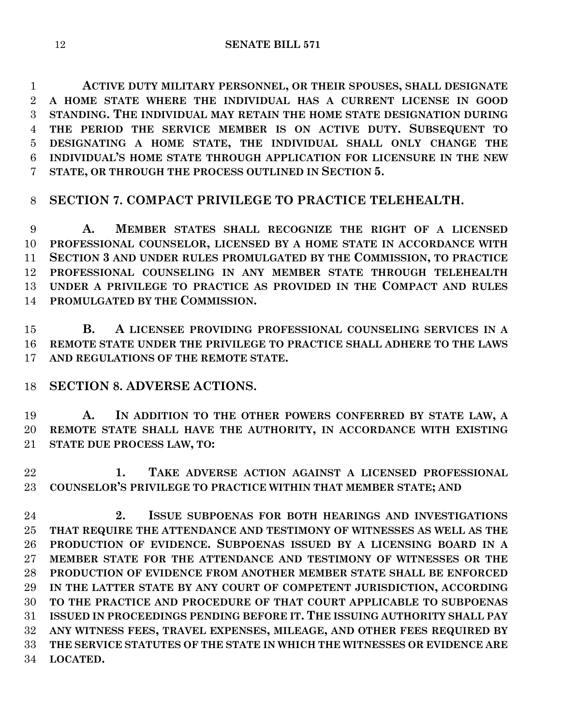**ACTIVE DUTY MILITARY PERSONNEL, OR THEIR SPOUSES, SHALL DESIGNATE A HOME STATE WHERE THE INDIVIDUAL HAS A CURRENT LICENSE IN GOOD STANDING. THE INDIVIDUAL MAY RETAIN THE HOME STATE DESIGNATION DURING THE PERIOD THE SERVICE MEMBER IS ON ACTIVE DUTY. SUBSEQUENT TO DESIGNATING A HOME STATE, THE INDIVIDUAL SHALL ONLY CHANGE THE INDIVIDUAL'S HOME STATE THROUGH APPLICATION FOR LICENSURE IN THE NEW STATE, OR THROUGH THE PROCESS OUTLINED IN SECTION 5.**

**SECTION 7. COMPACT PRIVILEGE TO PRACTICE TELEHEALTH.**

 **A. MEMBER STATES SHALL RECOGNIZE THE RIGHT OF A LICENSED PROFESSIONAL COUNSELOR, LICENSED BY A HOME STATE IN ACCORDANCE WITH SECTION 3 AND UNDER RULES PROMULGATED BY THE COMMISSION, TO PRACTICE PROFESSIONAL COUNSELING IN ANY MEMBER STATE THROUGH TELEHEALTH UNDER A PRIVILEGE TO PRACTICE AS PROVIDED IN THE COMPACT AND RULES PROMULGATED BY THE COMMISSION.**

 **B. A LICENSEE PROVIDING PROFESSIONAL COUNSELING SERVICES IN A REMOTE STATE UNDER THE PRIVILEGE TO PRACTICE SHALL ADHERE TO THE LAWS AND REGULATIONS OF THE REMOTE STATE.**

## **SECTION 8. ADVERSE ACTIONS.**

 **A. IN ADDITION TO THE OTHER POWERS CONFERRED BY STATE LAW, A REMOTE STATE SHALL HAVE THE AUTHORITY, IN ACCORDANCE WITH EXISTING STATE DUE PROCESS LAW, TO:**

 **1. TAKE ADVERSE ACTION AGAINST A LICENSED PROFESSIONAL COUNSELOR'S PRIVILEGE TO PRACTICE WITHIN THAT MEMBER STATE; AND**

 **2. ISSUE SUBPOENAS FOR BOTH HEARINGS AND INVESTIGATIONS THAT REQUIRE THE ATTENDANCE AND TESTIMONY OF WITNESSES AS WELL AS THE PRODUCTION OF EVIDENCE. SUBPOENAS ISSUED BY A LICENSING BOARD IN A MEMBER STATE FOR THE ATTENDANCE AND TESTIMONY OF WITNESSES OR THE PRODUCTION OF EVIDENCE FROM ANOTHER MEMBER STATE SHALL BE ENFORCED IN THE LATTER STATE BY ANY COURT OF COMPETENT JURISDICTION, ACCORDING TO THE PRACTICE AND PROCEDURE OF THAT COURT APPLICABLE TO SUBPOENAS ISSUED IN PROCEEDINGS PENDING BEFORE IT. THE ISSUING AUTHORITY SHALL PAY ANY WITNESS FEES, TRAVEL EXPENSES, MILEAGE, AND OTHER FEES REQUIRED BY THE SERVICE STATUTES OF THE STATE IN WHICH THE WITNESSES OR EVIDENCE ARE LOCATED.**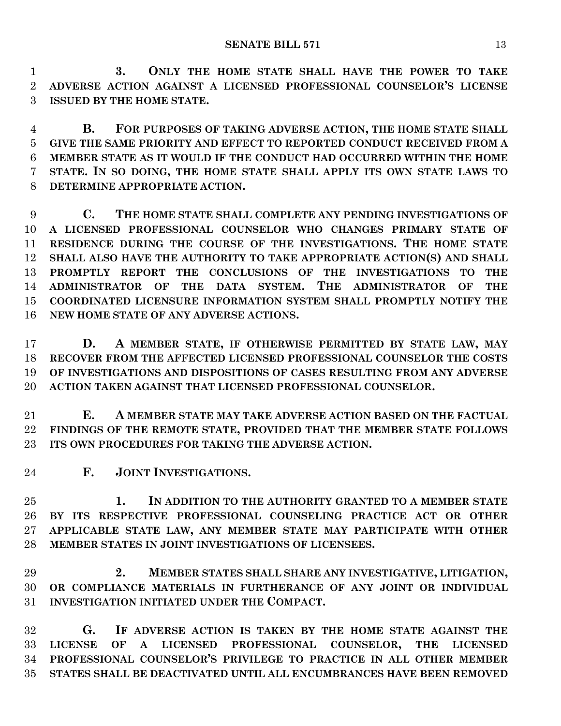**3. ONLY THE HOME STATE SHALL HAVE THE POWER TO TAKE ADVERSE ACTION AGAINST A LICENSED PROFESSIONAL COUNSELOR'S LICENSE ISSUED BY THE HOME STATE.**

 **B. FOR PURPOSES OF TAKING ADVERSE ACTION, THE HOME STATE SHALL GIVE THE SAME PRIORITY AND EFFECT TO REPORTED CONDUCT RECEIVED FROM A MEMBER STATE AS IT WOULD IF THE CONDUCT HAD OCCURRED WITHIN THE HOME STATE. IN SO DOING, THE HOME STATE SHALL APPLY ITS OWN STATE LAWS TO DETERMINE APPROPRIATE ACTION.**

 **C. THE HOME STATE SHALL COMPLETE ANY PENDING INVESTIGATIONS OF A LICENSED PROFESSIONAL COUNSELOR WHO CHANGES PRIMARY STATE OF RESIDENCE DURING THE COURSE OF THE INVESTIGATIONS. THE HOME STATE SHALL ALSO HAVE THE AUTHORITY TO TAKE APPROPRIATE ACTION(S) AND SHALL PROMPTLY REPORT THE CONCLUSIONS OF THE INVESTIGATIONS TO THE ADMINISTRATOR OF THE DATA SYSTEM. THE ADMINISTRATOR OF THE COORDINATED LICENSURE INFORMATION SYSTEM SHALL PROMPTLY NOTIFY THE NEW HOME STATE OF ANY ADVERSE ACTIONS.**

 **D. A MEMBER STATE, IF OTHERWISE PERMITTED BY STATE LAW, MAY RECOVER FROM THE AFFECTED LICENSED PROFESSIONAL COUNSELOR THE COSTS OF INVESTIGATIONS AND DISPOSITIONS OF CASES RESULTING FROM ANY ADVERSE ACTION TAKEN AGAINST THAT LICENSED PROFESSIONAL COUNSELOR.**

 **E. A MEMBER STATE MAY TAKE ADVERSE ACTION BASED ON THE FACTUAL FINDINGS OF THE REMOTE STATE, PROVIDED THAT THE MEMBER STATE FOLLOWS ITS OWN PROCEDURES FOR TAKING THE ADVERSE ACTION.**

**F. JOINT INVESTIGATIONS.**

 **1. IN ADDITION TO THE AUTHORITY GRANTED TO A MEMBER STATE BY ITS RESPECTIVE PROFESSIONAL COUNSELING PRACTICE ACT OR OTHER APPLICABLE STATE LAW, ANY MEMBER STATE MAY PARTICIPATE WITH OTHER MEMBER STATES IN JOINT INVESTIGATIONS OF LICENSEES.**

 **2. MEMBER STATES SHALL SHARE ANY INVESTIGATIVE, LITIGATION, OR COMPLIANCE MATERIALS IN FURTHERANCE OF ANY JOINT OR INDIVIDUAL INVESTIGATION INITIATED UNDER THE COMPACT.**

 **G. IF ADVERSE ACTION IS TAKEN BY THE HOME STATE AGAINST THE LICENSE OF A LICENSED PROFESSIONAL COUNSELOR, THE LICENSED PROFESSIONAL COUNSELOR'S PRIVILEGE TO PRACTICE IN ALL OTHER MEMBER STATES SHALL BE DEACTIVATED UNTIL ALL ENCUMBRANCES HAVE BEEN REMOVED**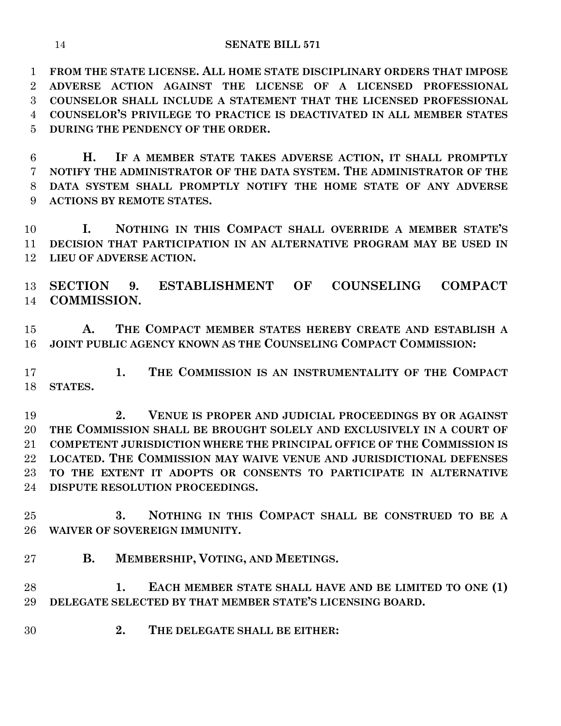**FROM THE STATE LICENSE. ALL HOME STATE DISCIPLINARY ORDERS THAT IMPOSE ADVERSE ACTION AGAINST THE LICENSE OF A LICENSED PROFESSIONAL COUNSELOR SHALL INCLUDE A STATEMENT THAT THE LICENSED PROFESSIONAL COUNSELOR'S PRIVILEGE TO PRACTICE IS DEACTIVATED IN ALL MEMBER STATES DURING THE PENDENCY OF THE ORDER.**

 **H. IF A MEMBER STATE TAKES ADVERSE ACTION, IT SHALL PROMPTLY NOTIFY THE ADMINISTRATOR OF THE DATA SYSTEM. THE ADMINISTRATOR OF THE DATA SYSTEM SHALL PROMPTLY NOTIFY THE HOME STATE OF ANY ADVERSE ACTIONS BY REMOTE STATES.**

 **I. NOTHING IN THIS COMPACT SHALL OVERRIDE A MEMBER STATE'S DECISION THAT PARTICIPATION IN AN ALTERNATIVE PROGRAM MAY BE USED IN LIEU OF ADVERSE ACTION.**

 **SECTION 9. ESTABLISHMENT OF COUNSELING COMPACT COMMISSION.**

 **A. THE COMPACT MEMBER STATES HEREBY CREATE AND ESTABLISH A JOINT PUBLIC AGENCY KNOWN AS THE COUNSELING COMPACT COMMISSION:**

 **1. THE COMMISSION IS AN INSTRUMENTALITY OF THE COMPACT STATES.**

 **2. VENUE IS PROPER AND JUDICIAL PROCEEDINGS BY OR AGAINST THE COMMISSION SHALL BE BROUGHT SOLELY AND EXCLUSIVELY IN A COURT OF COMPETENT JURISDICTION WHERE THE PRINCIPAL OFFICE OF THE COMMISSION IS LOCATED. THE COMMISSION MAY WAIVE VENUE AND JURISDICTIONAL DEFENSES TO THE EXTENT IT ADOPTS OR CONSENTS TO PARTICIPATE IN ALTERNATIVE DISPUTE RESOLUTION PROCEEDINGS.**

 **3. NOTHING IN THIS COMPACT SHALL BE CONSTRUED TO BE A WAIVER OF SOVEREIGN IMMUNITY.**

**B. MEMBERSHIP, VOTING, AND MEETINGS.**

 **1. EACH MEMBER STATE SHALL HAVE AND BE LIMITED TO ONE (1) DELEGATE SELECTED BY THAT MEMBER STATE'S LICENSING BOARD.**

**2. THE DELEGATE SHALL BE EITHER:**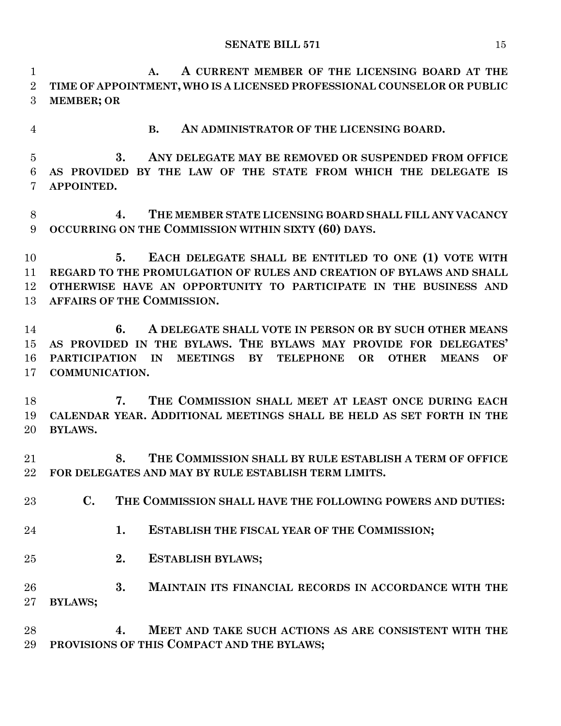**A. A CURRENT MEMBER OF THE LICENSING BOARD AT THE TIME OF APPOINTMENT, WHO IS A LICENSED PROFESSIONAL COUNSELOR OR PUBLIC MEMBER; OR B. AN ADMINISTRATOR OF THE LICENSING BOARD. 3. ANY DELEGATE MAY BE REMOVED OR SUSPENDED FROM OFFICE AS PROVIDED BY THE LAW OF THE STATE FROM WHICH THE DELEGATE IS APPOINTED. 4. THE MEMBER STATE LICENSING BOARD SHALL FILL ANY VACANCY OCCURRING ON THE COMMISSION WITHIN SIXTY (60) DAYS. 5. EACH DELEGATE SHALL BE ENTITLED TO ONE (1) VOTE WITH REGARD TO THE PROMULGATION OF RULES AND CREATION OF BYLAWS AND SHALL OTHERWISE HAVE AN OPPORTUNITY TO PARTICIPATE IN THE BUSINESS AND AFFAIRS OF THE COMMISSION. 6. A DELEGATE SHALL VOTE IN PERSON OR BY SUCH OTHER MEANS AS PROVIDED IN THE BYLAWS. THE BYLAWS MAY PROVIDE FOR DELEGATES' PARTICIPATION IN MEETINGS BY TELEPHONE OR OTHER MEANS OF COMMUNICATION. 7. THE COMMISSION SHALL MEET AT LEAST ONCE DURING EACH CALENDAR YEAR. ADDITIONAL MEETINGS SHALL BE HELD AS SET FORTH IN THE BYLAWS. 8. THE COMMISSION SHALL BY RULE ESTABLISH A TERM OF OFFICE FOR DELEGATES AND MAY BY RULE ESTABLISH TERM LIMITS. C. THE COMMISSION SHALL HAVE THE FOLLOWING POWERS AND DUTIES: 1. ESTABLISH THE FISCAL YEAR OF THE COMMISSION; 2. ESTABLISH BYLAWS; 3. MAINTAIN ITS FINANCIAL RECORDS IN ACCORDANCE WITH THE BYLAWS; 4. MEET AND TAKE SUCH ACTIONS AS ARE CONSISTENT WITH THE PROVISIONS OF THIS COMPACT AND THE BYLAWS;**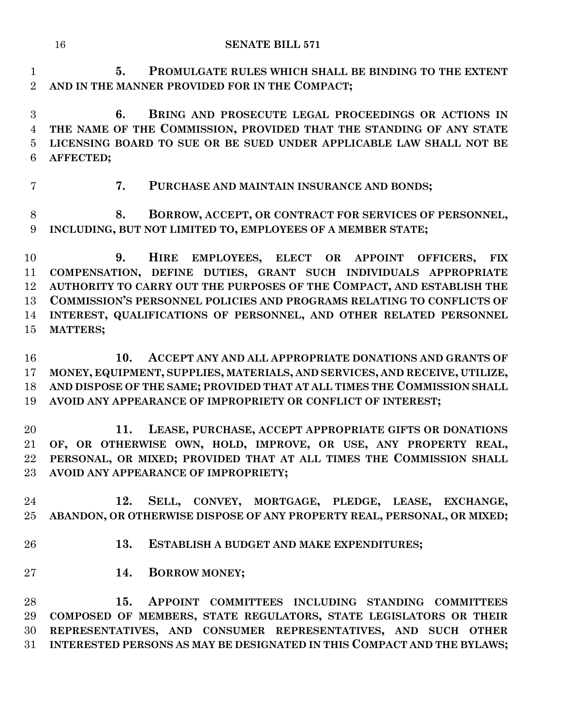#### **SENATE BILL 571**

 **5. PROMULGATE RULES WHICH SHALL BE BINDING TO THE EXTENT AND IN THE MANNER PROVIDED FOR IN THE COMPACT;**

 **6. BRING AND PROSECUTE LEGAL PROCEEDINGS OR ACTIONS IN THE NAME OF THE COMMISSION, PROVIDED THAT THE STANDING OF ANY STATE LICENSING BOARD TO SUE OR BE SUED UNDER APPLICABLE LAW SHALL NOT BE AFFECTED;**

**7. PURCHASE AND MAINTAIN INSURANCE AND BONDS;**

 **8. BORROW, ACCEPT, OR CONTRACT FOR SERVICES OF PERSONNEL, INCLUDING, BUT NOT LIMITED TO, EMPLOYEES OF A MEMBER STATE;**

 **9. HIRE EMPLOYEES, ELECT OR APPOINT OFFICERS, FIX COMPENSATION, DEFINE DUTIES, GRANT SUCH INDIVIDUALS APPROPRIATE AUTHORITY TO CARRY OUT THE PURPOSES OF THE COMPACT, AND ESTABLISH THE COMMISSION'S PERSONNEL POLICIES AND PROGRAMS RELATING TO CONFLICTS OF INTEREST, QUALIFICATIONS OF PERSONNEL, AND OTHER RELATED PERSONNEL MATTERS;**

 **10. ACCEPT ANY AND ALL APPROPRIATE DONATIONS AND GRANTS OF MONEY, EQUIPMENT, SUPPLIES, MATERIALS, AND SERVICES, AND RECEIVE, UTILIZE, AND DISPOSE OF THE SAME; PROVIDED THAT AT ALL TIMES THE COMMISSION SHALL AVOID ANY APPEARANCE OF IMPROPRIETY OR CONFLICT OF INTEREST;**

 **11. LEASE, PURCHASE, ACCEPT APPROPRIATE GIFTS OR DONATIONS OF, OR OTHERWISE OWN, HOLD, IMPROVE, OR USE, ANY PROPERTY REAL, PERSONAL, OR MIXED; PROVIDED THAT AT ALL TIMES THE COMMISSION SHALL AVOID ANY APPEARANCE OF IMPROPRIETY;**

 **12. SELL, CONVEY, MORTGAGE, PLEDGE, LEASE, EXCHANGE, ABANDON, OR OTHERWISE DISPOSE OF ANY PROPERTY REAL, PERSONAL, OR MIXED;**

**13. ESTABLISH A BUDGET AND MAKE EXPENDITURES;**

**14. BORROW MONEY;**

 **15. APPOINT COMMITTEES INCLUDING STANDING COMMITTEES COMPOSED OF MEMBERS, STATE REGULATORS, STATE LEGISLATORS OR THEIR REPRESENTATIVES, AND CONSUMER REPRESENTATIVES, AND SUCH OTHER INTERESTED PERSONS AS MAY BE DESIGNATED IN THIS COMPACT AND THE BYLAWS;**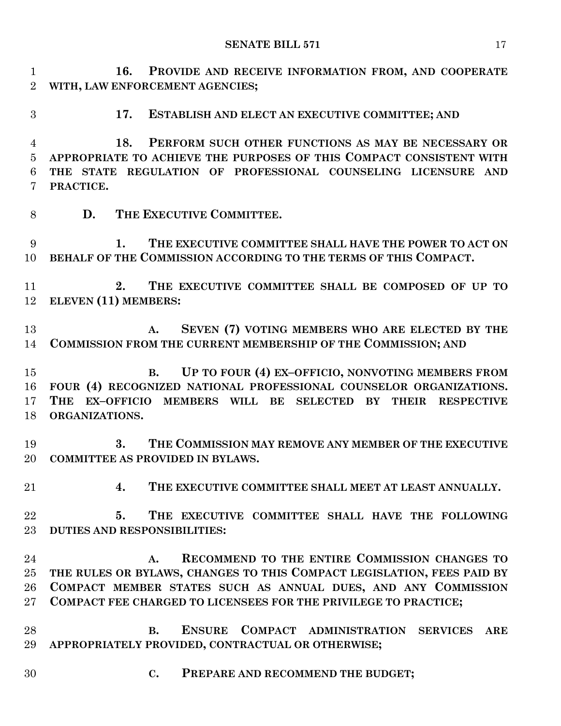**16. PROVIDE AND RECEIVE INFORMATION FROM, AND COOPERATE WITH, LAW ENFORCEMENT AGENCIES;**

## **17. ESTABLISH AND ELECT AN EXECUTIVE COMMITTEE; AND**

 **18. PERFORM SUCH OTHER FUNCTIONS AS MAY BE NECESSARY OR APPROPRIATE TO ACHIEVE THE PURPOSES OF THIS COMPACT CONSISTENT WITH THE STATE REGULATION OF PROFESSIONAL COUNSELING LICENSURE AND PRACTICE.**

**D. THE EXECUTIVE COMMITTEE.** 

 **1. THE EXECUTIVE COMMITTEE SHALL HAVE THE POWER TO ACT ON BEHALF OF THE COMMISSION ACCORDING TO THE TERMS OF THIS COMPACT.**

 **2. THE EXECUTIVE COMMITTEE SHALL BE COMPOSED OF UP TO ELEVEN (11) MEMBERS:**

 **A. SEVEN (7) VOTING MEMBERS WHO ARE ELECTED BY THE COMMISSION FROM THE CURRENT MEMBERSHIP OF THE COMMISSION; AND**

 **B. UP TO FOUR (4) EX–OFFICIO, NONVOTING MEMBERS FROM FOUR (4) RECOGNIZED NATIONAL PROFESSIONAL COUNSELOR ORGANIZATIONS. THE EX–OFFICIO MEMBERS WILL BE SELECTED BY THEIR RESPECTIVE ORGANIZATIONS.**

 **3. THE COMMISSION MAY REMOVE ANY MEMBER OF THE EXECUTIVE COMMITTEE AS PROVIDED IN BYLAWS.**

**4. THE EXECUTIVE COMMITTEE SHALL MEET AT LEAST ANNUALLY.**

 **5. THE EXECUTIVE COMMITTEE SHALL HAVE THE FOLLOWING DUTIES AND RESPONSIBILITIES:**

 **A. RECOMMEND TO THE ENTIRE COMMISSION CHANGES TO THE RULES OR BYLAWS, CHANGES TO THIS COMPACT LEGISLATION, FEES PAID BY COMPACT MEMBER STATES SUCH AS ANNUAL DUES, AND ANY COMMISSION COMPACT FEE CHARGED TO LICENSEES FOR THE PRIVILEGE TO PRACTICE;**

 **B. ENSURE COMPACT ADMINISTRATION SERVICES ARE APPROPRIATELY PROVIDED, CONTRACTUAL OR OTHERWISE;**

- 
- **C. PREPARE AND RECOMMEND THE BUDGET;**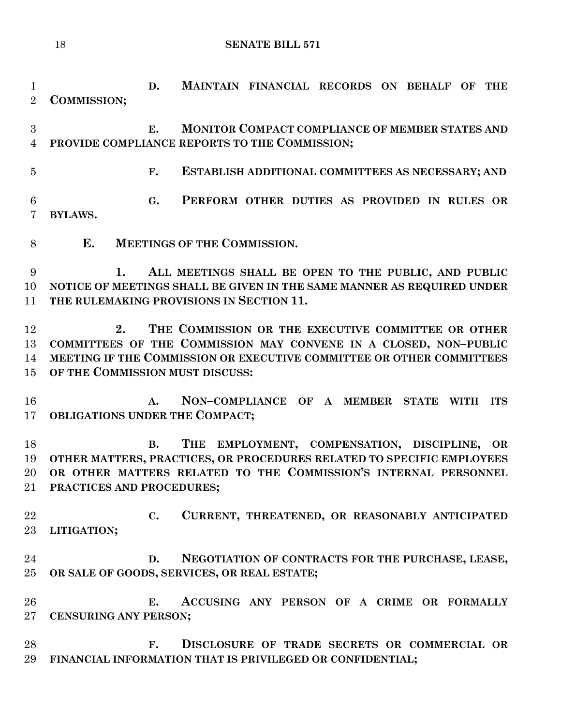**D. MAINTAIN FINANCIAL RECORDS ON BEHALF OF THE COMMISSION; E. MONITOR COMPACT COMPLIANCE OF MEMBER STATES AND PROVIDE COMPLIANCE REPORTS TO THE COMMISSION; F. ESTABLISH ADDITIONAL COMMITTEES AS NECESSARY; AND G. PERFORM OTHER DUTIES AS PROVIDED IN RULES OR BYLAWS. E. MEETINGS OF THE COMMISSION. 1. ALL MEETINGS SHALL BE OPEN TO THE PUBLIC, AND PUBLIC NOTICE OF MEETINGS SHALL BE GIVEN IN THE SAME MANNER AS REQUIRED UNDER THE RULEMAKING PROVISIONS IN SECTION 11. 2. THE COMMISSION OR THE EXECUTIVE COMMITTEE OR OTHER COMMITTEES OF THE COMMISSION MAY CONVENE IN A CLOSED, NON–PUBLIC MEETING IF THE COMMISSION OR EXECUTIVE COMMITTEE OR OTHER COMMITTEES OF THE COMMISSION MUST DISCUSS: A. NON–COMPLIANCE OF A MEMBER STATE WITH ITS OBLIGATIONS UNDER THE COMPACT; B. THE EMPLOYMENT, COMPENSATION, DISCIPLINE, OR OTHER MATTERS, PRACTICES, OR PROCEDURES RELATED TO SPECIFIC EMPLOYEES OR OTHER MATTERS RELATED TO THE COMMISSION'S INTERNAL PERSONNEL PRACTICES AND PROCEDURES; C. CURRENT, THREATENED, OR REASONABLY ANTICIPATED LITIGATION; D. NEGOTIATION OF CONTRACTS FOR THE PURCHASE, LEASE, OR SALE OF GOODS, SERVICES, OR REAL ESTATE; E. ACCUSING ANY PERSON OF A CRIME OR FORMALLY CENSURING ANY PERSON; F. DISCLOSURE OF TRADE SECRETS OR COMMERCIAL OR FINANCIAL INFORMATION THAT IS PRIVILEGED OR CONFIDENTIAL;**

**SENATE BILL 571**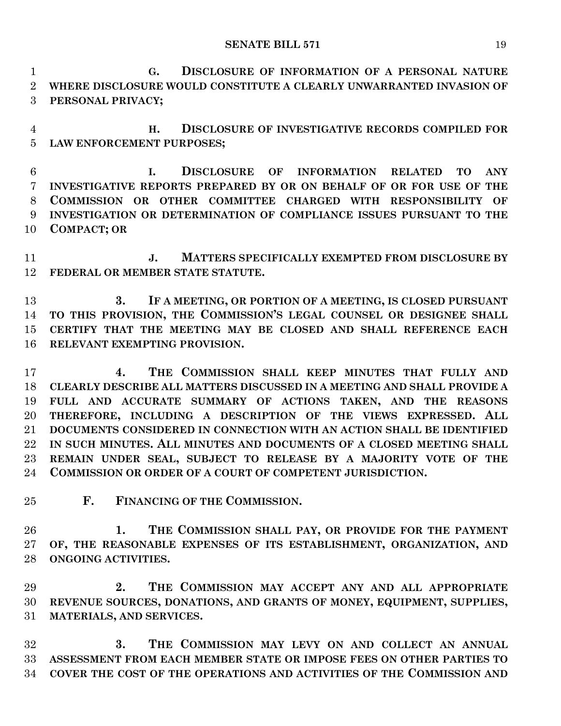**G. DISCLOSURE OF INFORMATION OF A PERSONAL NATURE WHERE DISCLOSURE WOULD CONSTITUTE A CLEARLY UNWARRANTED INVASION OF PERSONAL PRIVACY;**

 **H. DISCLOSURE OF INVESTIGATIVE RECORDS COMPILED FOR LAW ENFORCEMENT PURPOSES;**

 **I. DISCLOSURE OF INFORMATION RELATED TO ANY INVESTIGATIVE REPORTS PREPARED BY OR ON BEHALF OF OR FOR USE OF THE COMMISSION OR OTHER COMMITTEE CHARGED WITH RESPONSIBILITY OF INVESTIGATION OR DETERMINATION OF COMPLIANCE ISSUES PURSUANT TO THE COMPACT; OR**

 **J. MATTERS SPECIFICALLY EXEMPTED FROM DISCLOSURE BY FEDERAL OR MEMBER STATE STATUTE.**

 **3. IF A MEETING, OR PORTION OF A MEETING, IS CLOSED PURSUANT TO THIS PROVISION, THE COMMISSION'S LEGAL COUNSEL OR DESIGNEE SHALL CERTIFY THAT THE MEETING MAY BE CLOSED AND SHALL REFERENCE EACH RELEVANT EXEMPTING PROVISION.**

 **4. THE COMMISSION SHALL KEEP MINUTES THAT FULLY AND CLEARLY DESCRIBE ALL MATTERS DISCUSSED IN A MEETING AND SHALL PROVIDE A FULL AND ACCURATE SUMMARY OF ACTIONS TAKEN, AND THE REASONS THEREFORE, INCLUDING A DESCRIPTION OF THE VIEWS EXPRESSED. ALL DOCUMENTS CONSIDERED IN CONNECTION WITH AN ACTION SHALL BE IDENTIFIED IN SUCH MINUTES. ALL MINUTES AND DOCUMENTS OF A CLOSED MEETING SHALL REMAIN UNDER SEAL, SUBJECT TO RELEASE BY A MAJORITY VOTE OF THE COMMISSION OR ORDER OF A COURT OF COMPETENT JURISDICTION.**

**F. FINANCING OF THE COMMISSION.**

 **1. THE COMMISSION SHALL PAY, OR PROVIDE FOR THE PAYMENT OF, THE REASONABLE EXPENSES OF ITS ESTABLISHMENT, ORGANIZATION, AND ONGOING ACTIVITIES.**

 **2. THE COMMISSION MAY ACCEPT ANY AND ALL APPROPRIATE REVENUE SOURCES, DONATIONS, AND GRANTS OF MONEY, EQUIPMENT, SUPPLIES, MATERIALS, AND SERVICES.**

 **3. THE COMMISSION MAY LEVY ON AND COLLECT AN ANNUAL ASSESSMENT FROM EACH MEMBER STATE OR IMPOSE FEES ON OTHER PARTIES TO COVER THE COST OF THE OPERATIONS AND ACTIVITIES OF THE COMMISSION AND**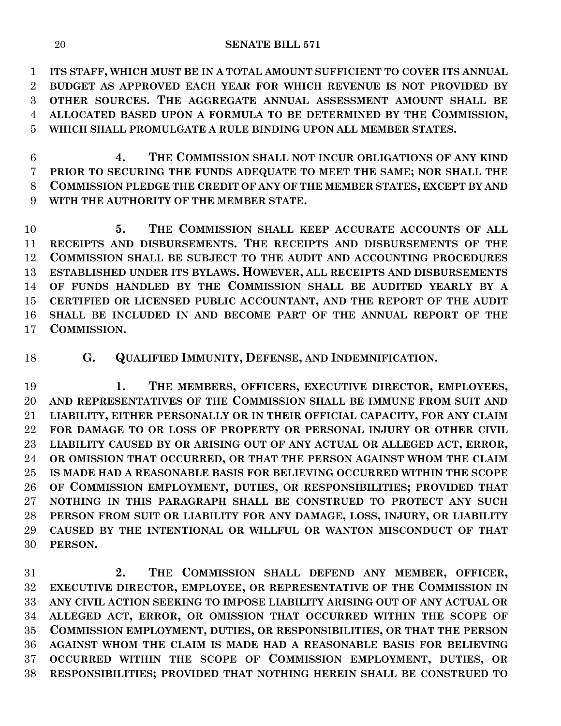**ITS STAFF, WHICH MUST BE IN A TOTAL AMOUNT SUFFICIENT TO COVER ITS ANNUAL BUDGET AS APPROVED EACH YEAR FOR WHICH REVENUE IS NOT PROVIDED BY OTHER SOURCES. THE AGGREGATE ANNUAL ASSESSMENT AMOUNT SHALL BE ALLOCATED BASED UPON A FORMULA TO BE DETERMINED BY THE COMMISSION, WHICH SHALL PROMULGATE A RULE BINDING UPON ALL MEMBER STATES.**

 **4. THE COMMISSION SHALL NOT INCUR OBLIGATIONS OF ANY KIND PRIOR TO SECURING THE FUNDS ADEQUATE TO MEET THE SAME; NOR SHALL THE COMMISSION PLEDGE THE CREDIT OF ANY OF THE MEMBER STATES, EXCEPT BY AND WITH THE AUTHORITY OF THE MEMBER STATE.**

 **5. THE COMMISSION SHALL KEEP ACCURATE ACCOUNTS OF ALL RECEIPTS AND DISBURSEMENTS. THE RECEIPTS AND DISBURSEMENTS OF THE COMMISSION SHALL BE SUBJECT TO THE AUDIT AND ACCOUNTING PROCEDURES ESTABLISHED UNDER ITS BYLAWS. HOWEVER, ALL RECEIPTS AND DISBURSEMENTS OF FUNDS HANDLED BY THE COMMISSION SHALL BE AUDITED YEARLY BY A CERTIFIED OR LICENSED PUBLIC ACCOUNTANT, AND THE REPORT OF THE AUDIT SHALL BE INCLUDED IN AND BECOME PART OF THE ANNUAL REPORT OF THE COMMISSION.**

**G. QUALIFIED IMMUNITY, DEFENSE, AND INDEMNIFICATION.**

 **1. THE MEMBERS, OFFICERS, EXECUTIVE DIRECTOR, EMPLOYEES, AND REPRESENTATIVES OF THE COMMISSION SHALL BE IMMUNE FROM SUIT AND LIABILITY, EITHER PERSONALLY OR IN THEIR OFFICIAL CAPACITY, FOR ANY CLAIM FOR DAMAGE TO OR LOSS OF PROPERTY OR PERSONAL INJURY OR OTHER CIVIL LIABILITY CAUSED BY OR ARISING OUT OF ANY ACTUAL OR ALLEGED ACT, ERROR, OR OMISSION THAT OCCURRED, OR THAT THE PERSON AGAINST WHOM THE CLAIM IS MADE HAD A REASONABLE BASIS FOR BELIEVING OCCURRED WITHIN THE SCOPE OF COMMISSION EMPLOYMENT, DUTIES, OR RESPONSIBILITIES; PROVIDED THAT NOTHING IN THIS PARAGRAPH SHALL BE CONSTRUED TO PROTECT ANY SUCH PERSON FROM SUIT OR LIABILITY FOR ANY DAMAGE, LOSS, INJURY, OR LIABILITY CAUSED BY THE INTENTIONAL OR WILLFUL OR WANTON MISCONDUCT OF THAT PERSON.**

 **2. THE COMMISSION SHALL DEFEND ANY MEMBER, OFFICER, EXECUTIVE DIRECTOR, EMPLOYEE, OR REPRESENTATIVE OF THE COMMISSION IN ANY CIVIL ACTION SEEKING TO IMPOSE LIABILITY ARISING OUT OF ANY ACTUAL OR ALLEGED ACT, ERROR, OR OMISSION THAT OCCURRED WITHIN THE SCOPE OF COMMISSION EMPLOYMENT, DUTIES, OR RESPONSIBILITIES, OR THAT THE PERSON AGAINST WHOM THE CLAIM IS MADE HAD A REASONABLE BASIS FOR BELIEVING OCCURRED WITHIN THE SCOPE OF COMMISSION EMPLOYMENT, DUTIES, OR RESPONSIBILITIES; PROVIDED THAT NOTHING HEREIN SHALL BE CONSTRUED TO**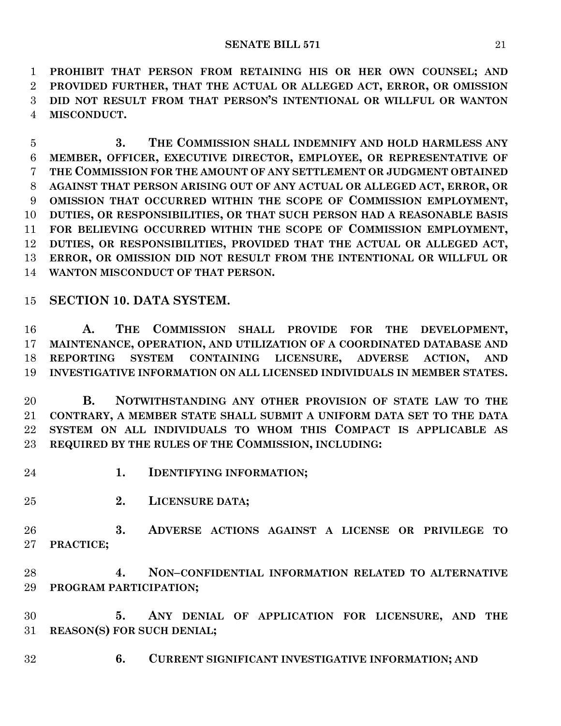**PROHIBIT THAT PERSON FROM RETAINING HIS OR HER OWN COUNSEL; AND PROVIDED FURTHER, THAT THE ACTUAL OR ALLEGED ACT, ERROR, OR OMISSION DID NOT RESULT FROM THAT PERSON'S INTENTIONAL OR WILLFUL OR WANTON MISCONDUCT.**

 **3. THE COMMISSION SHALL INDEMNIFY AND HOLD HARMLESS ANY MEMBER, OFFICER, EXECUTIVE DIRECTOR, EMPLOYEE, OR REPRESENTATIVE OF THE COMMISSION FOR THE AMOUNT OF ANY SETTLEMENT OR JUDGMENT OBTAINED AGAINST THAT PERSON ARISING OUT OF ANY ACTUAL OR ALLEGED ACT, ERROR, OR OMISSION THAT OCCURRED WITHIN THE SCOPE OF COMMISSION EMPLOYMENT, DUTIES, OR RESPONSIBILITIES, OR THAT SUCH PERSON HAD A REASONABLE BASIS FOR BELIEVING OCCURRED WITHIN THE SCOPE OF COMMISSION EMPLOYMENT, DUTIES, OR RESPONSIBILITIES, PROVIDED THAT THE ACTUAL OR ALLEGED ACT, ERROR, OR OMISSION DID NOT RESULT FROM THE INTENTIONAL OR WILLFUL OR WANTON MISCONDUCT OF THAT PERSON.**

## **SECTION 10. DATA SYSTEM.**

 **A. THE COMMISSION SHALL PROVIDE FOR THE DEVELOPMENT, MAINTENANCE, OPERATION, AND UTILIZATION OF A COORDINATED DATABASE AND REPORTING SYSTEM CONTAINING LICENSURE, ADVERSE ACTION, AND INVESTIGATIVE INFORMATION ON ALL LICENSED INDIVIDUALS IN MEMBER STATES.**

 **B. NOTWITHSTANDING ANY OTHER PROVISION OF STATE LAW TO THE CONTRARY, A MEMBER STATE SHALL SUBMIT A UNIFORM DATA SET TO THE DATA SYSTEM ON ALL INDIVIDUALS TO WHOM THIS COMPACT IS APPLICABLE AS REQUIRED BY THE RULES OF THE COMMISSION, INCLUDING:**

- **1. IDENTIFYING INFORMATION;**
- **2. LICENSURE DATA;**
- **3. ADVERSE ACTIONS AGAINST A LICENSE OR PRIVILEGE TO PRACTICE;**
- **4. NON–CONFIDENTIAL INFORMATION RELATED TO ALTERNATIVE PROGRAM PARTICIPATION;**
- **5. ANY DENIAL OF APPLICATION FOR LICENSURE, AND THE REASON(S) FOR SUCH DENIAL;**
- **6. CURRENT SIGNIFICANT INVESTIGATIVE INFORMATION; AND**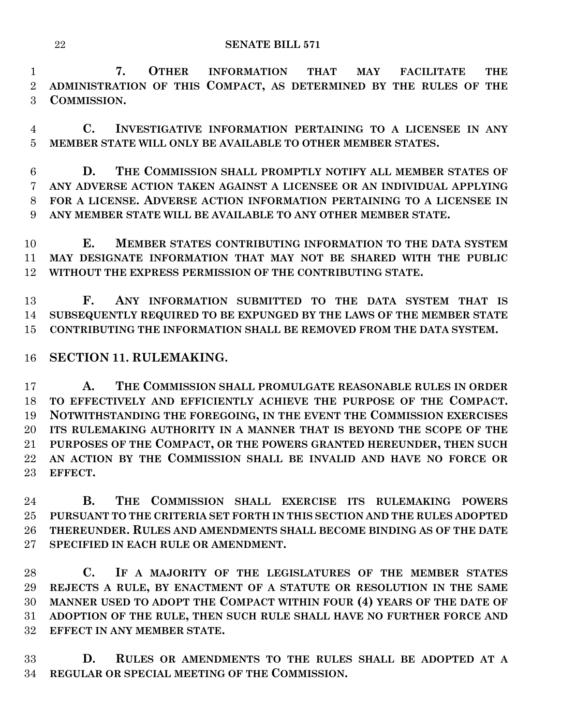**7. OTHER INFORMATION THAT MAY FACILITATE THE ADMINISTRATION OF THIS COMPACT, AS DETERMINED BY THE RULES OF THE COMMISSION.**

 **C. INVESTIGATIVE INFORMATION PERTAINING TO A LICENSEE IN ANY MEMBER STATE WILL ONLY BE AVAILABLE TO OTHER MEMBER STATES.**

 **D. THE COMMISSION SHALL PROMPTLY NOTIFY ALL MEMBER STATES OF ANY ADVERSE ACTION TAKEN AGAINST A LICENSEE OR AN INDIVIDUAL APPLYING FOR A LICENSE. ADVERSE ACTION INFORMATION PERTAINING TO A LICENSEE IN ANY MEMBER STATE WILL BE AVAILABLE TO ANY OTHER MEMBER STATE.**

 **E. MEMBER STATES CONTRIBUTING INFORMATION TO THE DATA SYSTEM MAY DESIGNATE INFORMATION THAT MAY NOT BE SHARED WITH THE PUBLIC WITHOUT THE EXPRESS PERMISSION OF THE CONTRIBUTING STATE.**

 **F. ANY INFORMATION SUBMITTED TO THE DATA SYSTEM THAT IS SUBSEQUENTLY REQUIRED TO BE EXPUNGED BY THE LAWS OF THE MEMBER STATE CONTRIBUTING THE INFORMATION SHALL BE REMOVED FROM THE DATA SYSTEM.**

## **SECTION 11. RULEMAKING.**

 **A. THE COMMISSION SHALL PROMULGATE REASONABLE RULES IN ORDER TO EFFECTIVELY AND EFFICIENTLY ACHIEVE THE PURPOSE OF THE COMPACT. NOTWITHSTANDING THE FOREGOING, IN THE EVENT THE COMMISSION EXERCISES ITS RULEMAKING AUTHORITY IN A MANNER THAT IS BEYOND THE SCOPE OF THE PURPOSES OF THE COMPACT, OR THE POWERS GRANTED HEREUNDER, THEN SUCH AN ACTION BY THE COMMISSION SHALL BE INVALID AND HAVE NO FORCE OR EFFECT.**

 **B. THE COMMISSION SHALL EXERCISE ITS RULEMAKING POWERS PURSUANT TO THE CRITERIA SET FORTH IN THIS SECTION AND THE RULES ADOPTED THEREUNDER. RULES AND AMENDMENTS SHALL BECOME BINDING AS OF THE DATE SPECIFIED IN EACH RULE OR AMENDMENT.**

 **C. IF A MAJORITY OF THE LEGISLATURES OF THE MEMBER STATES REJECTS A RULE, BY ENACTMENT OF A STATUTE OR RESOLUTION IN THE SAME MANNER USED TO ADOPT THE COMPACT WITHIN FOUR (4) YEARS OF THE DATE OF ADOPTION OF THE RULE, THEN SUCH RULE SHALL HAVE NO FURTHER FORCE AND EFFECT IN ANY MEMBER STATE.**

 **D. RULES OR AMENDMENTS TO THE RULES SHALL BE ADOPTED AT A REGULAR OR SPECIAL MEETING OF THE COMMISSION.**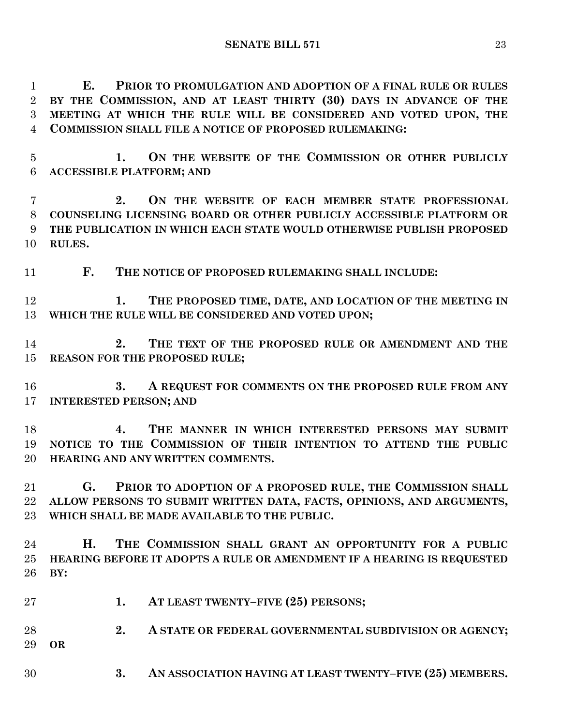**E. PRIOR TO PROMULGATION AND ADOPTION OF A FINAL RULE OR RULES BY THE COMMISSION, AND AT LEAST THIRTY (30) DAYS IN ADVANCE OF THE MEETING AT WHICH THE RULE WILL BE CONSIDERED AND VOTED UPON, THE COMMISSION SHALL FILE A NOTICE OF PROPOSED RULEMAKING:**

 **1. ON THE WEBSITE OF THE COMMISSION OR OTHER PUBLICLY ACCESSIBLE PLATFORM; AND** 

 **2. ON THE WEBSITE OF EACH MEMBER STATE PROFESSIONAL COUNSELING LICENSING BOARD OR OTHER PUBLICLY ACCESSIBLE PLATFORM OR THE PUBLICATION IN WHICH EACH STATE WOULD OTHERWISE PUBLISH PROPOSED RULES.**

**F. THE NOTICE OF PROPOSED RULEMAKING SHALL INCLUDE:**

 **1. THE PROPOSED TIME, DATE, AND LOCATION OF THE MEETING IN WHICH THE RULE WILL BE CONSIDERED AND VOTED UPON;**

 **2. THE TEXT OF THE PROPOSED RULE OR AMENDMENT AND THE REASON FOR THE PROPOSED RULE;**

 **3. A REQUEST FOR COMMENTS ON THE PROPOSED RULE FROM ANY INTERESTED PERSON; AND** 

 **4. THE MANNER IN WHICH INTERESTED PERSONS MAY SUBMIT NOTICE TO THE COMMISSION OF THEIR INTENTION TO ATTEND THE PUBLIC HEARING AND ANY WRITTEN COMMENTS.**

 **G. PRIOR TO ADOPTION OF A PROPOSED RULE, THE COMMISSION SHALL ALLOW PERSONS TO SUBMIT WRITTEN DATA, FACTS, OPINIONS, AND ARGUMENTS, WHICH SHALL BE MADE AVAILABLE TO THE PUBLIC.**

 **H. THE COMMISSION SHALL GRANT AN OPPORTUNITY FOR A PUBLIC HEARING BEFORE IT ADOPTS A RULE OR AMENDMENT IF A HEARING IS REQUESTED BY:**

**1. AT LEAST TWENTY–FIVE (25) PERSONS;**

**2. A** STATE OR FEDERAL GOVERNMENTAL SUBDIVISION OR AGENCY; **OR** 

**3. AN ASSOCIATION HAVING AT LEAST TWENTY–FIVE (25) MEMBERS.**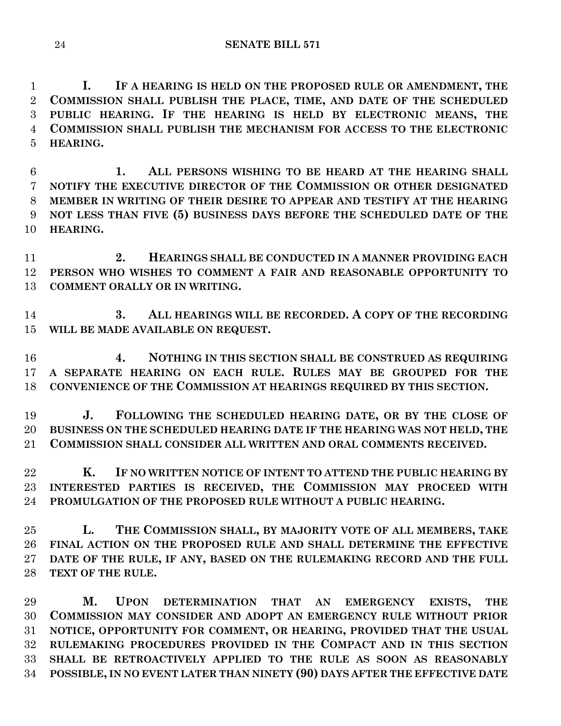**I. IF A HEARING IS HELD ON THE PROPOSED RULE OR AMENDMENT, THE COMMISSION SHALL PUBLISH THE PLACE, TIME, AND DATE OF THE SCHEDULED PUBLIC HEARING. IF THE HEARING IS HELD BY ELECTRONIC MEANS, THE COMMISSION SHALL PUBLISH THE MECHANISM FOR ACCESS TO THE ELECTRONIC HEARING.**

 **1. ALL PERSONS WISHING TO BE HEARD AT THE HEARING SHALL NOTIFY THE EXECUTIVE DIRECTOR OF THE COMMISSION OR OTHER DESIGNATED MEMBER IN WRITING OF THEIR DESIRE TO APPEAR AND TESTIFY AT THE HEARING NOT LESS THAN FIVE (5) BUSINESS DAYS BEFORE THE SCHEDULED DATE OF THE HEARING.**

 **2. HEARINGS SHALL BE CONDUCTED IN A MANNER PROVIDING EACH PERSON WHO WISHES TO COMMENT A FAIR AND REASONABLE OPPORTUNITY TO COMMENT ORALLY OR IN WRITING.**

 **3. ALL HEARINGS WILL BE RECORDED. A COPY OF THE RECORDING WILL BE MADE AVAILABLE ON REQUEST.**

 **4. NOTHING IN THIS SECTION SHALL BE CONSTRUED AS REQUIRING A SEPARATE HEARING ON EACH RULE. RULES MAY BE GROUPED FOR THE CONVENIENCE OF THE COMMISSION AT HEARINGS REQUIRED BY THIS SECTION.**

 **J. FOLLOWING THE SCHEDULED HEARING DATE, OR BY THE CLOSE OF BUSINESS ON THE SCHEDULED HEARING DATE IF THE HEARING WAS NOT HELD, THE COMMISSION SHALL CONSIDER ALL WRITTEN AND ORAL COMMENTS RECEIVED.**

 **K. IF NO WRITTEN NOTICE OF INTENT TO ATTEND THE PUBLIC HEARING BY INTERESTED PARTIES IS RECEIVED, THE COMMISSION MAY PROCEED WITH PROMULGATION OF THE PROPOSED RULE WITHOUT A PUBLIC HEARING.**

 **L. THE COMMISSION SHALL, BY MAJORITY VOTE OF ALL MEMBERS, TAKE FINAL ACTION ON THE PROPOSED RULE AND SHALL DETERMINE THE EFFECTIVE DATE OF THE RULE, IF ANY, BASED ON THE RULEMAKING RECORD AND THE FULL TEXT OF THE RULE.**

 **M. UPON DETERMINATION THAT AN EMERGENCY EXISTS, THE COMMISSION MAY CONSIDER AND ADOPT AN EMERGENCY RULE WITHOUT PRIOR NOTICE, OPPORTUNITY FOR COMMENT, OR HEARING, PROVIDED THAT THE USUAL RULEMAKING PROCEDURES PROVIDED IN THE COMPACT AND IN THIS SECTION SHALL BE RETROACTIVELY APPLIED TO THE RULE AS SOON AS REASONABLY POSSIBLE, IN NO EVENT LATER THAN NINETY (90) DAYS AFTER THE EFFECTIVE DATE**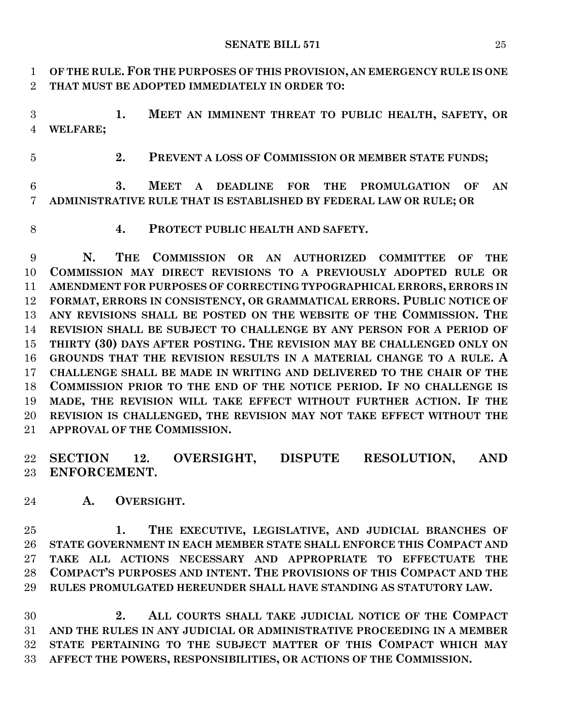**OF THE RULE. FOR THE PURPOSES OF THIS PROVISION, AN EMERGENCY RULE IS ONE THAT MUST BE ADOPTED IMMEDIATELY IN ORDER TO:**

 **1. MEET AN IMMINENT THREAT TO PUBLIC HEALTH, SAFETY, OR WELFARE;**

**2. PREVENT A LOSS OF COMMISSION OR MEMBER STATE FUNDS;**

 **3. MEET A DEADLINE FOR THE PROMULGATION OF AN ADMINISTRATIVE RULE THAT IS ESTABLISHED BY FEDERAL LAW OR RULE; OR** 

**4. PROTECT PUBLIC HEALTH AND SAFETY.**

 **N. THE COMMISSION OR AN AUTHORIZED COMMITTEE OF THE COMMISSION MAY DIRECT REVISIONS TO A PREVIOUSLY ADOPTED RULE OR AMENDMENT FOR PURPOSES OF CORRECTING TYPOGRAPHICAL ERRORS, ERRORS IN FORMAT, ERRORS IN CONSISTENCY, OR GRAMMATICAL ERRORS. PUBLIC NOTICE OF ANY REVISIONS SHALL BE POSTED ON THE WEBSITE OF THE COMMISSION. THE REVISION SHALL BE SUBJECT TO CHALLENGE BY ANY PERSON FOR A PERIOD OF THIRTY (30) DAYS AFTER POSTING. THE REVISION MAY BE CHALLENGED ONLY ON GROUNDS THAT THE REVISION RESULTS IN A MATERIAL CHANGE TO A RULE. A CHALLENGE SHALL BE MADE IN WRITING AND DELIVERED TO THE CHAIR OF THE COMMISSION PRIOR TO THE END OF THE NOTICE PERIOD. IF NO CHALLENGE IS MADE, THE REVISION WILL TAKE EFFECT WITHOUT FURTHER ACTION. IF THE REVISION IS CHALLENGED, THE REVISION MAY NOT TAKE EFFECT WITHOUT THE APPROVAL OF THE COMMISSION.**

 **SECTION 12. OVERSIGHT, DISPUTE RESOLUTION, AND ENFORCEMENT.**

**A. OVERSIGHT.**

 **1. THE EXECUTIVE, LEGISLATIVE, AND JUDICIAL BRANCHES OF STATE GOVERNMENT IN EACH MEMBER STATE SHALL ENFORCE THIS COMPACT AND TAKE ALL ACTIONS NECESSARY AND APPROPRIATE TO EFFECTUATE THE COMPACT'S PURPOSES AND INTENT. THE PROVISIONS OF THIS COMPACT AND THE RULES PROMULGATED HEREUNDER SHALL HAVE STANDING AS STATUTORY LAW.**

 **2. ALL COURTS SHALL TAKE JUDICIAL NOTICE OF THE COMPACT AND THE RULES IN ANY JUDICIAL OR ADMINISTRATIVE PROCEEDING IN A MEMBER STATE PERTAINING TO THE SUBJECT MATTER OF THIS COMPACT WHICH MAY AFFECT THE POWERS, RESPONSIBILITIES, OR ACTIONS OF THE COMMISSION.**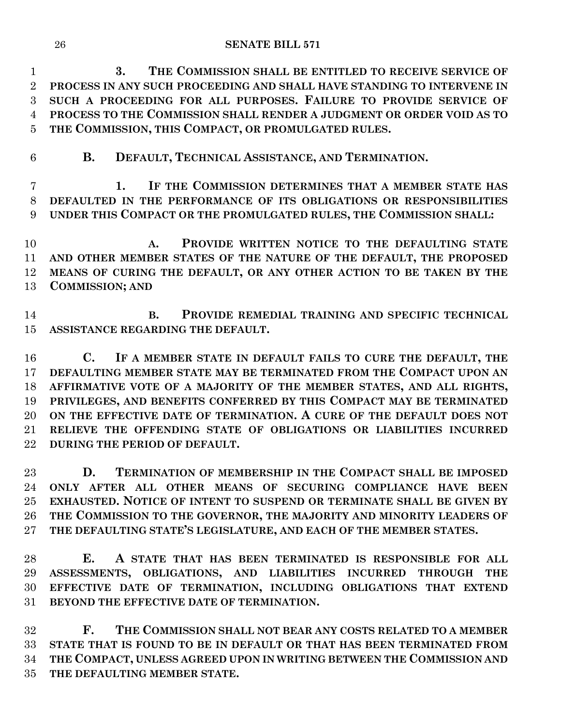#### **SENATE BILL 571**

 **3. THE COMMISSION SHALL BE ENTITLED TO RECEIVE SERVICE OF PROCESS IN ANY SUCH PROCEEDING AND SHALL HAVE STANDING TO INTERVENE IN SUCH A PROCEEDING FOR ALL PURPOSES. FAILURE TO PROVIDE SERVICE OF PROCESS TO THE COMMISSION SHALL RENDER A JUDGMENT OR ORDER VOID AS TO THE COMMISSION, THIS COMPACT, OR PROMULGATED RULES.**

**B. DEFAULT, TECHNICAL ASSISTANCE, AND TERMINATION.**

 **1. IF THE COMMISSION DETERMINES THAT A MEMBER STATE HAS DEFAULTED IN THE PERFORMANCE OF ITS OBLIGATIONS OR RESPONSIBILITIES UNDER THIS COMPACT OR THE PROMULGATED RULES, THE COMMISSION SHALL:**

 **A. PROVIDE WRITTEN NOTICE TO THE DEFAULTING STATE AND OTHER MEMBER STATES OF THE NATURE OF THE DEFAULT, THE PROPOSED MEANS OF CURING THE DEFAULT, OR ANY OTHER ACTION TO BE TAKEN BY THE COMMISSION; AND**

 **B. PROVIDE REMEDIAL TRAINING AND SPECIFIC TECHNICAL ASSISTANCE REGARDING THE DEFAULT.**

 **C. IF A MEMBER STATE IN DEFAULT FAILS TO CURE THE DEFAULT, THE DEFAULTING MEMBER STATE MAY BE TERMINATED FROM THE COMPACT UPON AN AFFIRMATIVE VOTE OF A MAJORITY OF THE MEMBER STATES, AND ALL RIGHTS, PRIVILEGES, AND BENEFITS CONFERRED BY THIS COMPACT MAY BE TERMINATED ON THE EFFECTIVE DATE OF TERMINATION. A CURE OF THE DEFAULT DOES NOT RELIEVE THE OFFENDING STATE OF OBLIGATIONS OR LIABILITIES INCURRED DURING THE PERIOD OF DEFAULT.**

 **D. TERMINATION OF MEMBERSHIP IN THE COMPACT SHALL BE IMPOSED ONLY AFTER ALL OTHER MEANS OF SECURING COMPLIANCE HAVE BEEN EXHAUSTED. NOTICE OF INTENT TO SUSPEND OR TERMINATE SHALL BE GIVEN BY THE COMMISSION TO THE GOVERNOR, THE MAJORITY AND MINORITY LEADERS OF THE DEFAULTING STATE'S LEGISLATURE, AND EACH OF THE MEMBER STATES.**

 **E. A STATE THAT HAS BEEN TERMINATED IS RESPONSIBLE FOR ALL ASSESSMENTS, OBLIGATIONS, AND LIABILITIES INCURRED THROUGH THE EFFECTIVE DATE OF TERMINATION, INCLUDING OBLIGATIONS THAT EXTEND BEYOND THE EFFECTIVE DATE OF TERMINATION.**

 **F. THE COMMISSION SHALL NOT BEAR ANY COSTS RELATED TO A MEMBER STATE THAT IS FOUND TO BE IN DEFAULT OR THAT HAS BEEN TERMINATED FROM THE COMPACT, UNLESS AGREED UPON IN WRITING BETWEEN THE COMMISSION AND THE DEFAULTING MEMBER STATE.**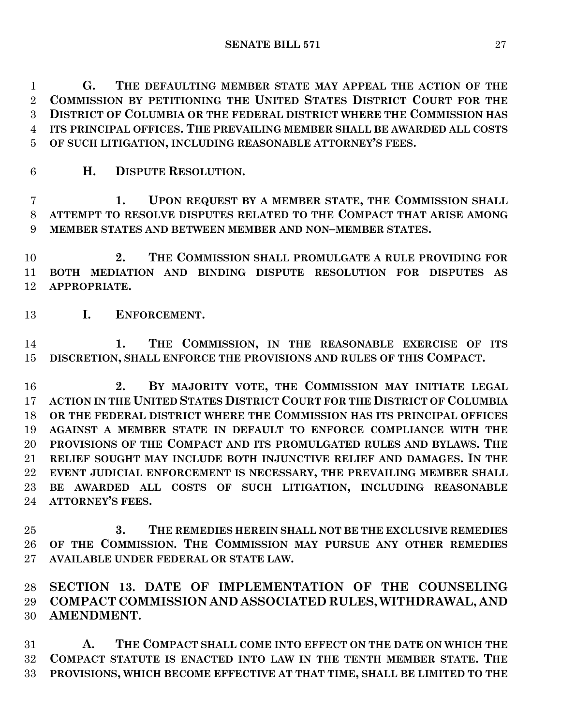**G. THE DEFAULTING MEMBER STATE MAY APPEAL THE ACTION OF THE COMMISSION BY PETITIONING THE UNITED STATES DISTRICT COURT FOR THE DISTRICT OF COLUMBIA OR THE FEDERAL DISTRICT WHERE THE COMMISSION HAS ITS PRINCIPAL OFFICES. THE PREVAILING MEMBER SHALL BE AWARDED ALL COSTS OF SUCH LITIGATION, INCLUDING REASONABLE ATTORNEY'S FEES.**

**H. DISPUTE RESOLUTION.**

 **1. UPON REQUEST BY A MEMBER STATE, THE COMMISSION SHALL ATTEMPT TO RESOLVE DISPUTES RELATED TO THE COMPACT THAT ARISE AMONG MEMBER STATES AND BETWEEN MEMBER AND NON–MEMBER STATES.**

 **2. THE COMMISSION SHALL PROMULGATE A RULE PROVIDING FOR BOTH MEDIATION AND BINDING DISPUTE RESOLUTION FOR DISPUTES AS APPROPRIATE.**

**I. ENFORCEMENT.**

 **1. THE COMMISSION, IN THE REASONABLE EXERCISE OF ITS DISCRETION, SHALL ENFORCE THE PROVISIONS AND RULES OF THIS COMPACT.**

 **2. BY MAJORITY VOTE, THE COMMISSION MAY INITIATE LEGAL ACTION IN THE UNITED STATES DISTRICT COURT FOR THE DISTRICT OF COLUMBIA OR THE FEDERAL DISTRICT WHERE THE COMMISSION HAS ITS PRINCIPAL OFFICES AGAINST A MEMBER STATE IN DEFAULT TO ENFORCE COMPLIANCE WITH THE PROVISIONS OF THE COMPACT AND ITS PROMULGATED RULES AND BYLAWS. THE RELIEF SOUGHT MAY INCLUDE BOTH INJUNCTIVE RELIEF AND DAMAGES. IN THE EVENT JUDICIAL ENFORCEMENT IS NECESSARY, THE PREVAILING MEMBER SHALL BE AWARDED ALL COSTS OF SUCH LITIGATION, INCLUDING REASONABLE ATTORNEY'S FEES.**

 **3. THE REMEDIES HEREIN SHALL NOT BE THE EXCLUSIVE REMEDIES OF THE COMMISSION. THE COMMISSION MAY PURSUE ANY OTHER REMEDIES AVAILABLE UNDER FEDERAL OR STATE LAW.**

 **SECTION 13. DATE OF IMPLEMENTATION OF THE COUNSELING COMPACT COMMISSION AND ASSOCIATED RULES, WITHDRAWAL, AND AMENDMENT.**

 **A. THE COMPACT SHALL COME INTO EFFECT ON THE DATE ON WHICH THE COMPACT STATUTE IS ENACTED INTO LAW IN THE TENTH MEMBER STATE. THE PROVISIONS, WHICH BECOME EFFECTIVE AT THAT TIME, SHALL BE LIMITED TO THE**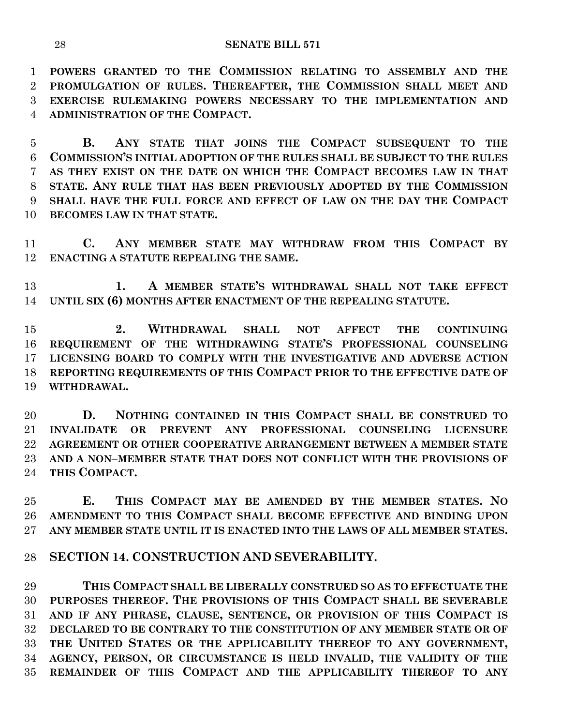**POWERS GRANTED TO THE COMMISSION RELATING TO ASSEMBLY AND THE PROMULGATION OF RULES. THEREAFTER, THE COMMISSION SHALL MEET AND EXERCISE RULEMAKING POWERS NECESSARY TO THE IMPLEMENTATION AND ADMINISTRATION OF THE COMPACT.**

 **B. ANY STATE THAT JOINS THE COMPACT SUBSEQUENT TO THE COMMISSION'S INITIAL ADOPTION OF THE RULES SHALL BE SUBJECT TO THE RULES AS THEY EXIST ON THE DATE ON WHICH THE COMPACT BECOMES LAW IN THAT STATE. ANY RULE THAT HAS BEEN PREVIOUSLY ADOPTED BY THE COMMISSION SHALL HAVE THE FULL FORCE AND EFFECT OF LAW ON THE DAY THE COMPACT BECOMES LAW IN THAT STATE.**

 **C. ANY MEMBER STATE MAY WITHDRAW FROM THIS COMPACT BY ENACTING A STATUTE REPEALING THE SAME.**

 **1. A MEMBER STATE'S WITHDRAWAL SHALL NOT TAKE EFFECT UNTIL SIX (6) MONTHS AFTER ENACTMENT OF THE REPEALING STATUTE.**

 **2. WITHDRAWAL SHALL NOT AFFECT THE CONTINUING REQUIREMENT OF THE WITHDRAWING STATE'S PROFESSIONAL COUNSELING LICENSING BOARD TO COMPLY WITH THE INVESTIGATIVE AND ADVERSE ACTION REPORTING REQUIREMENTS OF THIS COMPACT PRIOR TO THE EFFECTIVE DATE OF WITHDRAWAL.**

 **D. NOTHING CONTAINED IN THIS COMPACT SHALL BE CONSTRUED TO INVALIDATE OR PREVENT ANY PROFESSIONAL COUNSELING LICENSURE AGREEMENT OR OTHER COOPERATIVE ARRANGEMENT BETWEEN A MEMBER STATE AND A NON–MEMBER STATE THAT DOES NOT CONFLICT WITH THE PROVISIONS OF THIS COMPACT.**

 **E. THIS COMPACT MAY BE AMENDED BY THE MEMBER STATES. NO AMENDMENT TO THIS COMPACT SHALL BECOME EFFECTIVE AND BINDING UPON ANY MEMBER STATE UNTIL IT IS ENACTED INTO THE LAWS OF ALL MEMBER STATES.**

## **SECTION 14. CONSTRUCTION AND SEVERABILITY.**

 **THIS COMPACT SHALL BE LIBERALLY CONSTRUED SO AS TO EFFECTUATE THE PURPOSES THEREOF. THE PROVISIONS OF THIS COMPACT SHALL BE SEVERABLE AND IF ANY PHRASE, CLAUSE, SENTENCE, OR PROVISION OF THIS COMPACT IS DECLARED TO BE CONTRARY TO THE CONSTITUTION OF ANY MEMBER STATE OR OF THE UNITED STATES OR THE APPLICABILITY THEREOF TO ANY GOVERNMENT, AGENCY, PERSON, OR CIRCUMSTANCE IS HELD INVALID, THE VALIDITY OF THE REMAINDER OF THIS COMPACT AND THE APPLICABILITY THEREOF TO ANY**